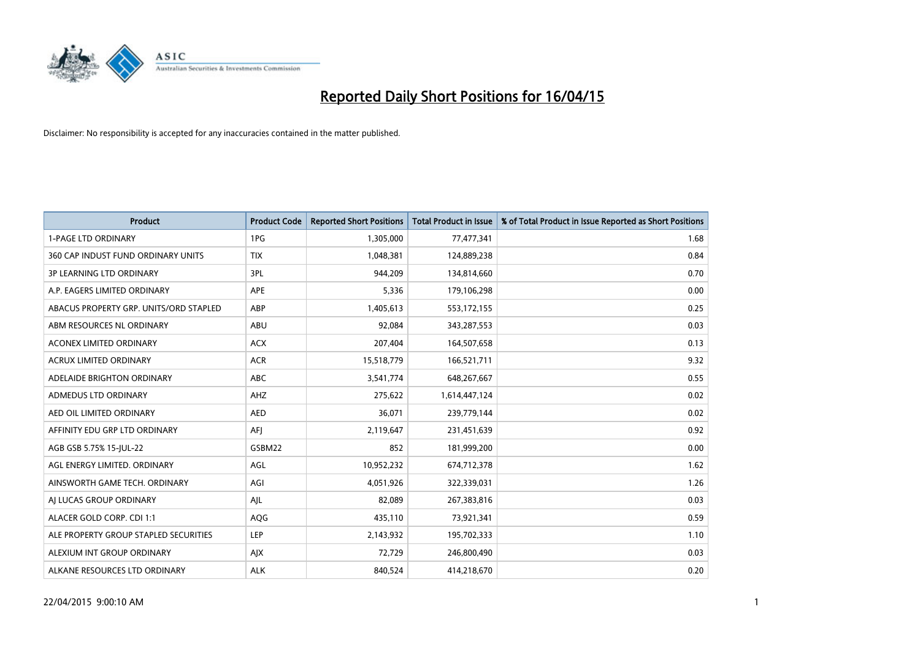

| <b>Product</b>                         | <b>Product Code</b> | <b>Reported Short Positions</b> | <b>Total Product in Issue</b> | % of Total Product in Issue Reported as Short Positions |
|----------------------------------------|---------------------|---------------------------------|-------------------------------|---------------------------------------------------------|
| <b>1-PAGE LTD ORDINARY</b>             | 1PG                 | 1,305,000                       | 77,477,341                    | 1.68                                                    |
| 360 CAP INDUST FUND ORDINARY UNITS     | <b>TIX</b>          | 1,048,381                       | 124,889,238                   | 0.84                                                    |
| <b>3P LEARNING LTD ORDINARY</b>        | 3PL                 | 944,209                         | 134,814,660                   | 0.70                                                    |
| A.P. EAGERS LIMITED ORDINARY           | APE                 | 5,336                           | 179,106,298                   | 0.00                                                    |
| ABACUS PROPERTY GRP. UNITS/ORD STAPLED | ABP                 | 1,405,613                       | 553,172,155                   | 0.25                                                    |
| ABM RESOURCES NL ORDINARY              | ABU                 | 92,084                          | 343,287,553                   | 0.03                                                    |
| ACONEX LIMITED ORDINARY                | <b>ACX</b>          | 207,404                         | 164,507,658                   | 0.13                                                    |
| ACRUX LIMITED ORDINARY                 | <b>ACR</b>          | 15,518,779                      | 166,521,711                   | 9.32                                                    |
| ADELAIDE BRIGHTON ORDINARY             | <b>ABC</b>          | 3,541,774                       | 648,267,667                   | 0.55                                                    |
| <b>ADMEDUS LTD ORDINARY</b>            | AHZ                 | 275,622                         | 1,614,447,124                 | 0.02                                                    |
| AED OIL LIMITED ORDINARY               | <b>AED</b>          | 36,071                          | 239,779,144                   | 0.02                                                    |
| AFFINITY EDU GRP LTD ORDINARY          | AFJ                 | 2,119,647                       | 231,451,639                   | 0.92                                                    |
| AGB GSB 5.75% 15-JUL-22                | GSBM22              | 852                             | 181,999,200                   | 0.00                                                    |
| AGL ENERGY LIMITED. ORDINARY           | AGL                 | 10,952,232                      | 674,712,378                   | 1.62                                                    |
| AINSWORTH GAME TECH. ORDINARY          | AGI                 | 4,051,926                       | 322,339,031                   | 1.26                                                    |
| AI LUCAS GROUP ORDINARY                | AJL                 | 82,089                          | 267,383,816                   | 0.03                                                    |
| ALACER GOLD CORP. CDI 1:1              | AQG                 | 435,110                         | 73,921,341                    | 0.59                                                    |
| ALE PROPERTY GROUP STAPLED SECURITIES  | LEP                 | 2,143,932                       | 195,702,333                   | 1.10                                                    |
| ALEXIUM INT GROUP ORDINARY             | AJX                 | 72,729                          | 246,800,490                   | 0.03                                                    |
| ALKANE RESOURCES LTD ORDINARY          | <b>ALK</b>          | 840,524                         | 414,218,670                   | 0.20                                                    |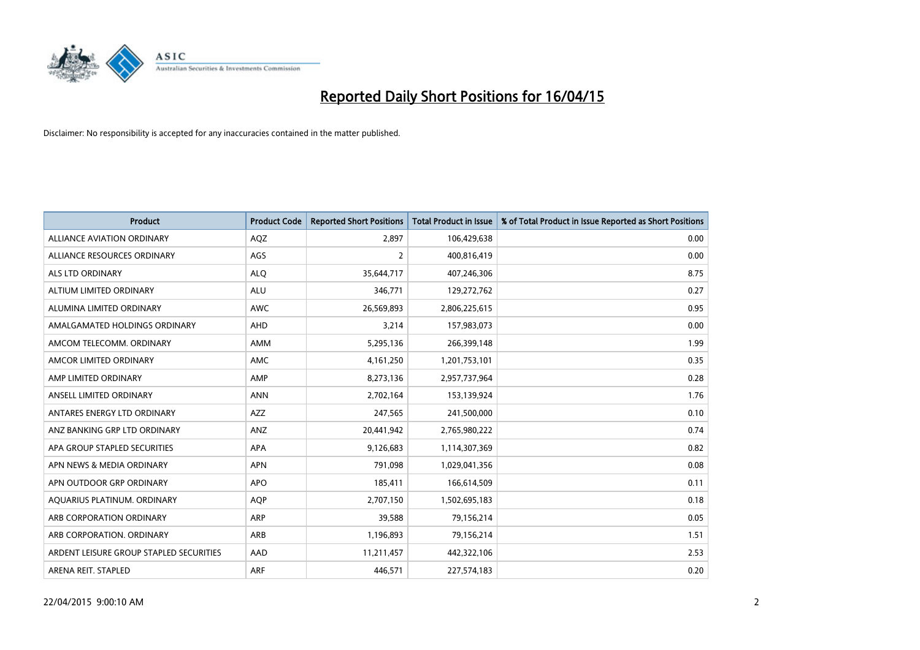

| <b>Product</b>                          | <b>Product Code</b> | <b>Reported Short Positions</b> | <b>Total Product in Issue</b> | % of Total Product in Issue Reported as Short Positions |
|-----------------------------------------|---------------------|---------------------------------|-------------------------------|---------------------------------------------------------|
| <b>ALLIANCE AVIATION ORDINARY</b>       | AQZ                 | 2,897                           | 106,429,638                   | 0.00                                                    |
| ALLIANCE RESOURCES ORDINARY             | AGS                 | $\overline{2}$                  | 400,816,419                   | 0.00                                                    |
| ALS LTD ORDINARY                        | <b>ALQ</b>          | 35,644,717                      | 407,246,306                   | 8.75                                                    |
| ALTIUM LIMITED ORDINARY                 | ALU                 | 346,771                         | 129,272,762                   | 0.27                                                    |
| ALUMINA LIMITED ORDINARY                | AWC                 | 26,569,893                      | 2,806,225,615                 | 0.95                                                    |
| AMALGAMATED HOLDINGS ORDINARY           | AHD                 | 3,214                           | 157,983,073                   | 0.00                                                    |
| AMCOM TELECOMM, ORDINARY                | AMM                 | 5,295,136                       | 266,399,148                   | 1.99                                                    |
| AMCOR LIMITED ORDINARY                  | <b>AMC</b>          | 4,161,250                       | 1,201,753,101                 | 0.35                                                    |
| AMP LIMITED ORDINARY                    | AMP                 | 8,273,136                       | 2,957,737,964                 | 0.28                                                    |
| ANSELL LIMITED ORDINARY                 | <b>ANN</b>          | 2,702,164                       | 153,139,924                   | 1.76                                                    |
| ANTARES ENERGY LTD ORDINARY             | AZZ                 | 247,565                         | 241,500,000                   | 0.10                                                    |
| ANZ BANKING GRP LTD ORDINARY            | ANZ                 | 20,441,942                      | 2,765,980,222                 | 0.74                                                    |
| APA GROUP STAPLED SECURITIES            | <b>APA</b>          | 9,126,683                       | 1,114,307,369                 | 0.82                                                    |
| APN NEWS & MEDIA ORDINARY               | <b>APN</b>          | 791,098                         | 1,029,041,356                 | 0.08                                                    |
| APN OUTDOOR GRP ORDINARY                | <b>APO</b>          | 185,411                         | 166,614,509                   | 0.11                                                    |
| AQUARIUS PLATINUM. ORDINARY             | <b>AQP</b>          | 2,707,150                       | 1,502,695,183                 | 0.18                                                    |
| ARB CORPORATION ORDINARY                | ARP                 | 39,588                          | 79,156,214                    | 0.05                                                    |
| ARB CORPORATION, ORDINARY               | ARB                 | 1,196,893                       | 79,156,214                    | 1.51                                                    |
| ARDENT LEISURE GROUP STAPLED SECURITIES | AAD                 | 11,211,457                      | 442,322,106                   | 2.53                                                    |
| ARENA REIT. STAPLED                     | <b>ARF</b>          | 446,571                         | 227,574,183                   | 0.20                                                    |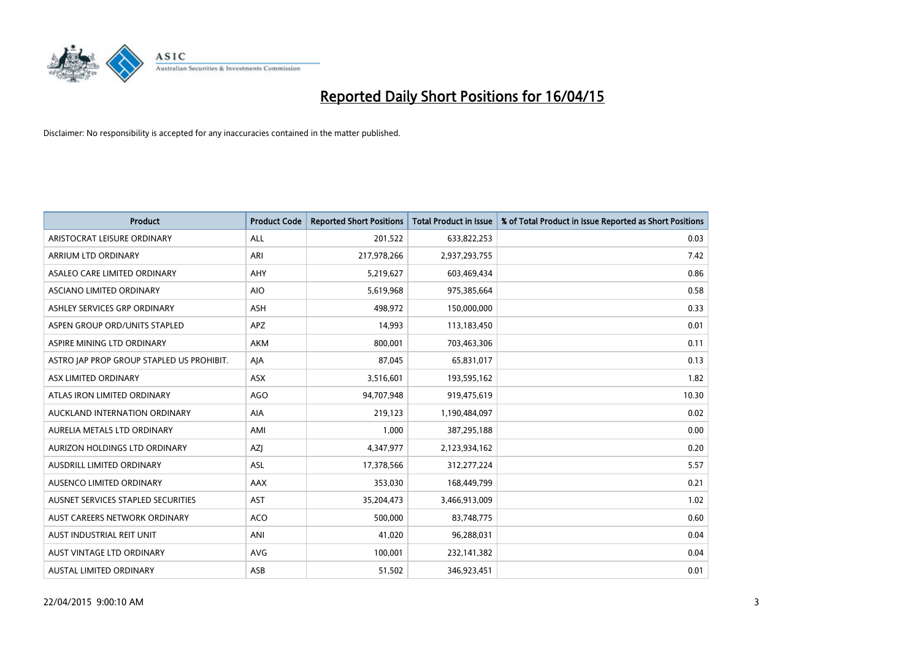

| <b>Product</b>                            | <b>Product Code</b> | <b>Reported Short Positions</b> | <b>Total Product in Issue</b> | % of Total Product in Issue Reported as Short Positions |
|-------------------------------------------|---------------------|---------------------------------|-------------------------------|---------------------------------------------------------|
| ARISTOCRAT LEISURE ORDINARY               | ALL                 | 201,522                         | 633,822,253                   | 0.03                                                    |
| ARRIUM LTD ORDINARY                       | <b>ARI</b>          | 217,978,266                     | 2,937,293,755                 | 7.42                                                    |
| ASALEO CARE LIMITED ORDINARY              | <b>AHY</b>          | 5,219,627                       | 603,469,434                   | 0.86                                                    |
| ASCIANO LIMITED ORDINARY                  | <b>AIO</b>          | 5,619,968                       | 975,385,664                   | 0.58                                                    |
| ASHLEY SERVICES GRP ORDINARY              | <b>ASH</b>          | 498,972                         | 150,000,000                   | 0.33                                                    |
| ASPEN GROUP ORD/UNITS STAPLED             | <b>APZ</b>          | 14,993                          | 113,183,450                   | 0.01                                                    |
| ASPIRE MINING LTD ORDINARY                | <b>AKM</b>          | 800,001                         | 703,463,306                   | 0.11                                                    |
| ASTRO JAP PROP GROUP STAPLED US PROHIBIT. | AJA                 | 87,045                          | 65,831,017                    | 0.13                                                    |
| ASX LIMITED ORDINARY                      | <b>ASX</b>          | 3,516,601                       | 193,595,162                   | 1.82                                                    |
| ATLAS IRON LIMITED ORDINARY               | <b>AGO</b>          | 94,707,948                      | 919,475,619                   | 10.30                                                   |
| AUCKLAND INTERNATION ORDINARY             | AIA                 | 219,123                         | 1,190,484,097                 | 0.02                                                    |
| AURELIA METALS LTD ORDINARY               | AMI                 | 1,000                           | 387,295,188                   | 0.00                                                    |
| AURIZON HOLDINGS LTD ORDINARY             | AZJ                 | 4,347,977                       | 2,123,934,162                 | 0.20                                                    |
| AUSDRILL LIMITED ORDINARY                 | ASL                 | 17,378,566                      | 312,277,224                   | 5.57                                                    |
| AUSENCO LIMITED ORDINARY                  | AAX                 | 353,030                         | 168,449,799                   | 0.21                                                    |
| AUSNET SERVICES STAPLED SECURITIES        | AST                 | 35,204,473                      | 3,466,913,009                 | 1.02                                                    |
| AUST CAREERS NETWORK ORDINARY             | <b>ACO</b>          | 500,000                         | 83,748,775                    | 0.60                                                    |
| AUST INDUSTRIAL REIT UNIT                 | ANI                 | 41,020                          | 96,288,031                    | 0.04                                                    |
| <b>AUST VINTAGE LTD ORDINARY</b>          | <b>AVG</b>          | 100,001                         | 232,141,382                   | 0.04                                                    |
| <b>AUSTAL LIMITED ORDINARY</b>            | ASB                 | 51,502                          | 346,923,451                   | 0.01                                                    |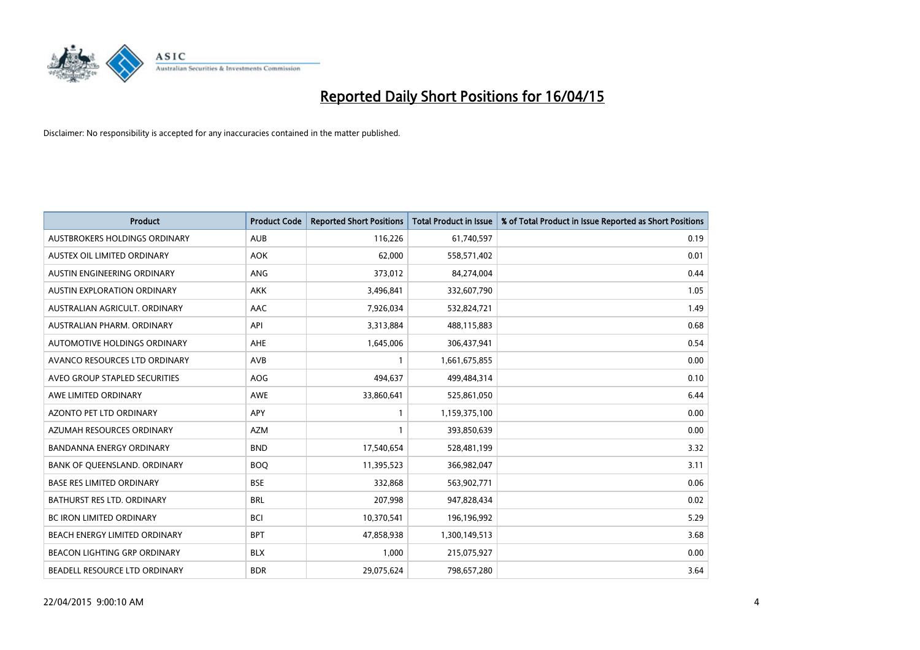

| <b>Product</b>                      | <b>Product Code</b> | <b>Reported Short Positions</b> | <b>Total Product in Issue</b> | % of Total Product in Issue Reported as Short Positions |
|-------------------------------------|---------------------|---------------------------------|-------------------------------|---------------------------------------------------------|
| AUSTBROKERS HOLDINGS ORDINARY       | <b>AUB</b>          | 116,226                         | 61,740,597                    | 0.19                                                    |
| AUSTEX OIL LIMITED ORDINARY         | <b>AOK</b>          | 62,000                          | 558,571,402                   | 0.01                                                    |
| AUSTIN ENGINEERING ORDINARY         | <b>ANG</b>          | 373,012                         | 84,274,004                    | 0.44                                                    |
| AUSTIN EXPLORATION ORDINARY         | <b>AKK</b>          | 3,496,841                       | 332,607,790                   | 1.05                                                    |
| AUSTRALIAN AGRICULT, ORDINARY       | AAC                 | 7,926,034                       | 532,824,721                   | 1.49                                                    |
| AUSTRALIAN PHARM, ORDINARY          | API                 | 3,313,884                       | 488,115,883                   | 0.68                                                    |
| AUTOMOTIVE HOLDINGS ORDINARY        | AHE                 | 1,645,006                       | 306,437,941                   | 0.54                                                    |
| AVANCO RESOURCES LTD ORDINARY       | AVB                 | $\mathbf{1}$                    | 1,661,675,855                 | 0.00                                                    |
| AVEO GROUP STAPLED SECURITIES       | <b>AOG</b>          | 494,637                         | 499,484,314                   | 0.10                                                    |
| AWE LIMITED ORDINARY                | <b>AWE</b>          | 33,860,641                      | 525,861,050                   | 6.44                                                    |
| AZONTO PET LTD ORDINARY             | APY                 | $\mathbf{1}$                    | 1,159,375,100                 | 0.00                                                    |
| AZUMAH RESOURCES ORDINARY           | AZM                 | $\mathbf{1}$                    | 393,850,639                   | 0.00                                                    |
| <b>BANDANNA ENERGY ORDINARY</b>     | <b>BND</b>          | 17,540,654                      | 528,481,199                   | 3.32                                                    |
| BANK OF QUEENSLAND. ORDINARY        | <b>BOO</b>          | 11,395,523                      | 366,982,047                   | 3.11                                                    |
| <b>BASE RES LIMITED ORDINARY</b>    | <b>BSE</b>          | 332,868                         | 563,902,771                   | 0.06                                                    |
| BATHURST RES LTD. ORDINARY          | <b>BRL</b>          | 207,998                         | 947,828,434                   | 0.02                                                    |
| BC IRON LIMITED ORDINARY            | <b>BCI</b>          | 10,370,541                      | 196,196,992                   | 5.29                                                    |
| BEACH ENERGY LIMITED ORDINARY       | <b>BPT</b>          | 47,858,938                      | 1,300,149,513                 | 3.68                                                    |
| <b>BEACON LIGHTING GRP ORDINARY</b> | <b>BLX</b>          | 1,000                           | 215,075,927                   | 0.00                                                    |
| BEADELL RESOURCE LTD ORDINARY       | <b>BDR</b>          | 29,075,624                      | 798,657,280                   | 3.64                                                    |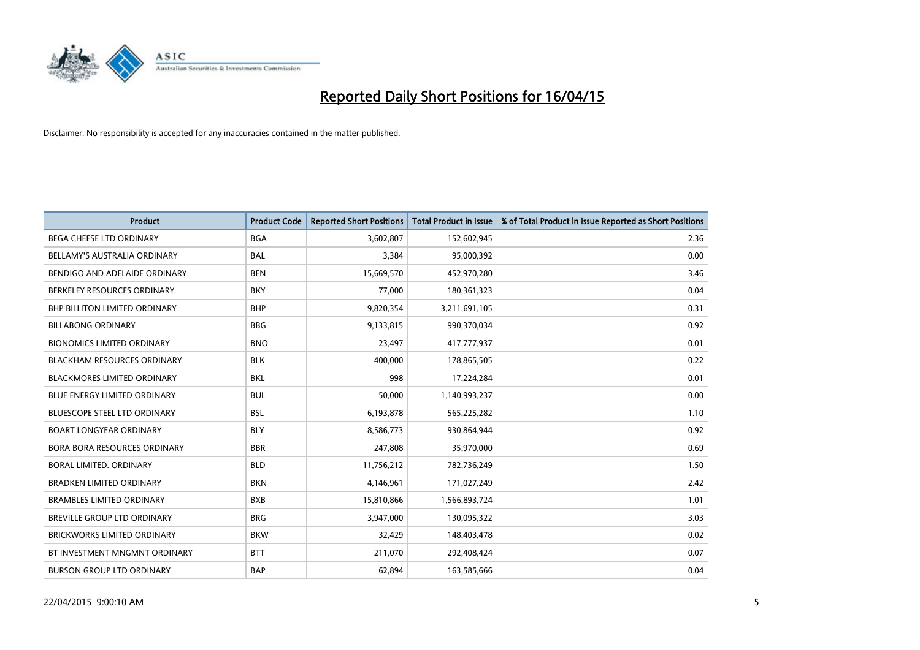

| <b>Product</b>                      | <b>Product Code</b> | <b>Reported Short Positions</b> | <b>Total Product in Issue</b> | % of Total Product in Issue Reported as Short Positions |
|-------------------------------------|---------------------|---------------------------------|-------------------------------|---------------------------------------------------------|
| <b>BEGA CHEESE LTD ORDINARY</b>     | <b>BGA</b>          | 3,602,807                       | 152,602,945                   | 2.36                                                    |
| BELLAMY'S AUSTRALIA ORDINARY        | <b>BAL</b>          | 3,384                           | 95,000,392                    | 0.00                                                    |
| BENDIGO AND ADELAIDE ORDINARY       | <b>BEN</b>          | 15,669,570                      | 452,970,280                   | 3.46                                                    |
| BERKELEY RESOURCES ORDINARY         | <b>BKY</b>          | 77,000                          | 180,361,323                   | 0.04                                                    |
| BHP BILLITON LIMITED ORDINARY       | <b>BHP</b>          | 9,820,354                       | 3,211,691,105                 | 0.31                                                    |
| <b>BILLABONG ORDINARY</b>           | <b>BBG</b>          | 9,133,815                       | 990,370,034                   | 0.92                                                    |
| <b>BIONOMICS LIMITED ORDINARY</b>   | <b>BNO</b>          | 23,497                          | 417,777,937                   | 0.01                                                    |
| <b>BLACKHAM RESOURCES ORDINARY</b>  | <b>BLK</b>          | 400,000                         | 178,865,505                   | 0.22                                                    |
| <b>BLACKMORES LIMITED ORDINARY</b>  | <b>BKL</b>          | 998                             | 17,224,284                    | 0.01                                                    |
| <b>BLUE ENERGY LIMITED ORDINARY</b> | <b>BUL</b>          | 50,000                          | 1,140,993,237                 | 0.00                                                    |
| <b>BLUESCOPE STEEL LTD ORDINARY</b> | <b>BSL</b>          | 6,193,878                       | 565,225,282                   | 1.10                                                    |
| <b>BOART LONGYEAR ORDINARY</b>      | <b>BLY</b>          | 8,586,773                       | 930,864,944                   | 0.92                                                    |
| BORA BORA RESOURCES ORDINARY        | <b>BBR</b>          | 247,808                         | 35,970,000                    | 0.69                                                    |
| <b>BORAL LIMITED, ORDINARY</b>      | <b>BLD</b>          | 11,756,212                      | 782,736,249                   | 1.50                                                    |
| <b>BRADKEN LIMITED ORDINARY</b>     | <b>BKN</b>          | 4,146,961                       | 171,027,249                   | 2.42                                                    |
| <b>BRAMBLES LIMITED ORDINARY</b>    | <b>BXB</b>          | 15,810,866                      | 1,566,893,724                 | 1.01                                                    |
| BREVILLE GROUP LTD ORDINARY         | <b>BRG</b>          | 3,947,000                       | 130,095,322                   | 3.03                                                    |
| <b>BRICKWORKS LIMITED ORDINARY</b>  | <b>BKW</b>          | 32,429                          | 148,403,478                   | 0.02                                                    |
| BT INVESTMENT MNGMNT ORDINARY       | <b>BTT</b>          | 211,070                         | 292,408,424                   | 0.07                                                    |
| <b>BURSON GROUP LTD ORDINARY</b>    | <b>BAP</b>          | 62,894                          | 163,585,666                   | 0.04                                                    |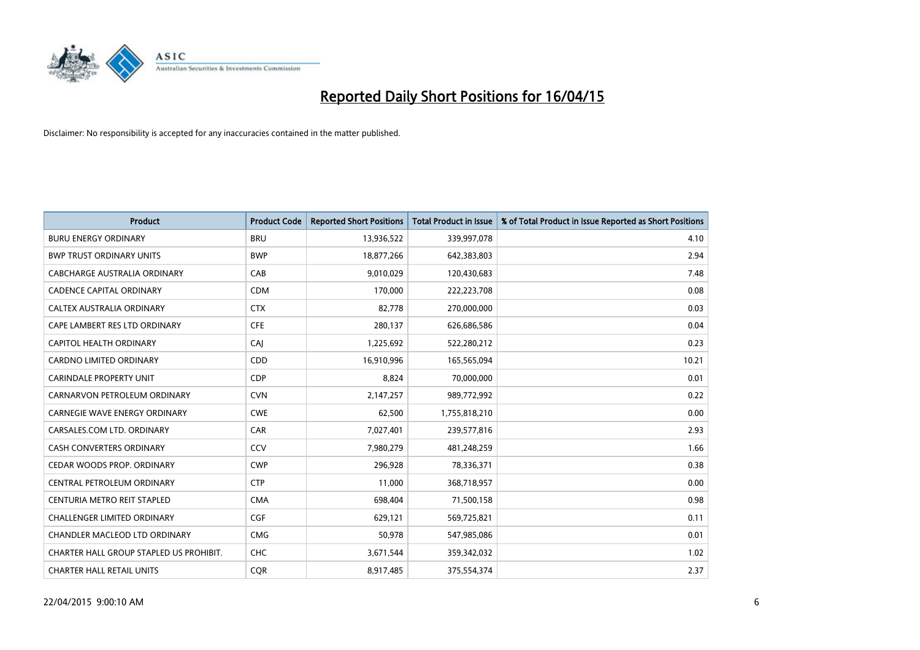

| <b>Product</b>                          | <b>Product Code</b> | <b>Reported Short Positions</b> | <b>Total Product in Issue</b> | % of Total Product in Issue Reported as Short Positions |
|-----------------------------------------|---------------------|---------------------------------|-------------------------------|---------------------------------------------------------|
| <b>BURU ENERGY ORDINARY</b>             | <b>BRU</b>          | 13,936,522                      | 339,997,078                   | 4.10                                                    |
| <b>BWP TRUST ORDINARY UNITS</b>         | <b>BWP</b>          | 18,877,266                      | 642,383,803                   | 2.94                                                    |
| CABCHARGE AUSTRALIA ORDINARY            | CAB                 | 9,010,029                       | 120,430,683                   | 7.48                                                    |
| <b>CADENCE CAPITAL ORDINARY</b>         | <b>CDM</b>          | 170,000                         | 222,223,708                   | 0.08                                                    |
| <b>CALTEX AUSTRALIA ORDINARY</b>        | <b>CTX</b>          | 82,778                          | 270,000,000                   | 0.03                                                    |
| CAPE LAMBERT RES LTD ORDINARY           | <b>CFE</b>          | 280,137                         | 626,686,586                   | 0.04                                                    |
| <b>CAPITOL HEALTH ORDINARY</b>          | CAJ                 | 1,225,692                       | 522,280,212                   | 0.23                                                    |
| <b>CARDNO LIMITED ORDINARY</b>          | CDD                 | 16,910,996                      | 165,565,094                   | 10.21                                                   |
| <b>CARINDALE PROPERTY UNIT</b>          | <b>CDP</b>          | 8,824                           | 70,000,000                    | 0.01                                                    |
| CARNARVON PETROLEUM ORDINARY            | <b>CVN</b>          | 2,147,257                       | 989,772,992                   | 0.22                                                    |
| <b>CARNEGIE WAVE ENERGY ORDINARY</b>    | <b>CWE</b>          | 62,500                          | 1,755,818,210                 | 0.00                                                    |
| CARSALES.COM LTD. ORDINARY              | <b>CAR</b>          | 7,027,401                       | 239,577,816                   | 2.93                                                    |
| <b>CASH CONVERTERS ORDINARY</b>         | CCV                 | 7,980,279                       | 481,248,259                   | 1.66                                                    |
| CEDAR WOODS PROP. ORDINARY              | <b>CWP</b>          | 296,928                         | 78,336,371                    | 0.38                                                    |
| CENTRAL PETROLEUM ORDINARY              | <b>CTP</b>          | 11,000                          | 368,718,957                   | 0.00                                                    |
| CENTURIA METRO REIT STAPLED             | <b>CMA</b>          | 698,404                         | 71,500,158                    | 0.98                                                    |
| CHALLENGER LIMITED ORDINARY             | <b>CGF</b>          | 629,121                         | 569,725,821                   | 0.11                                                    |
| CHANDLER MACLEOD LTD ORDINARY           | <b>CMG</b>          | 50,978                          | 547,985,086                   | 0.01                                                    |
| CHARTER HALL GROUP STAPLED US PROHIBIT. | <b>CHC</b>          | 3,671,544                       | 359,342,032                   | 1.02                                                    |
| <b>CHARTER HALL RETAIL UNITS</b>        | <b>COR</b>          | 8,917,485                       | 375,554,374                   | 2.37                                                    |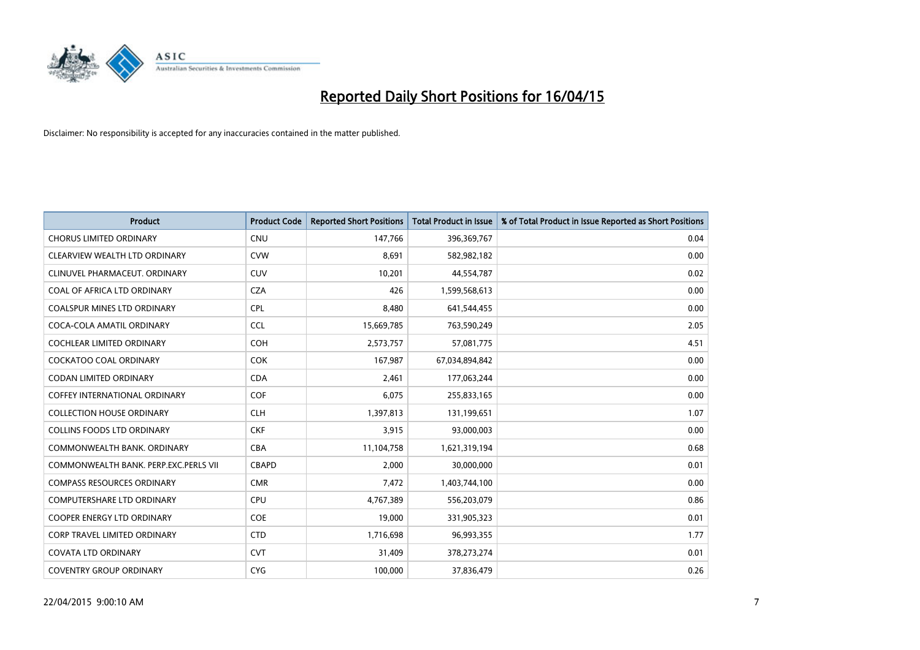

| <b>Product</b>                        | <b>Product Code</b> | <b>Reported Short Positions</b> | <b>Total Product in Issue</b> | % of Total Product in Issue Reported as Short Positions |
|---------------------------------------|---------------------|---------------------------------|-------------------------------|---------------------------------------------------------|
| <b>CHORUS LIMITED ORDINARY</b>        | <b>CNU</b>          | 147,766                         | 396,369,767                   | 0.04                                                    |
| CLEARVIEW WEALTH LTD ORDINARY         | <b>CVW</b>          | 8,691                           | 582,982,182                   | 0.00                                                    |
| CLINUVEL PHARMACEUT, ORDINARY         | <b>CUV</b>          | 10,201                          | 44,554,787                    | 0.02                                                    |
| COAL OF AFRICA LTD ORDINARY           | <b>CZA</b>          | 426                             | 1,599,568,613                 | 0.00                                                    |
| <b>COALSPUR MINES LTD ORDINARY</b>    | <b>CPL</b>          | 8,480                           | 641,544,455                   | 0.00                                                    |
| COCA-COLA AMATIL ORDINARY             | <b>CCL</b>          | 15,669,785                      | 763,590,249                   | 2.05                                                    |
| <b>COCHLEAR LIMITED ORDINARY</b>      | <b>COH</b>          | 2,573,757                       | 57,081,775                    | 4.51                                                    |
| COCKATOO COAL ORDINARY                | COK                 | 167,987                         | 67,034,894,842                | 0.00                                                    |
| <b>CODAN LIMITED ORDINARY</b>         | <b>CDA</b>          | 2,461                           | 177,063,244                   | 0.00                                                    |
| <b>COFFEY INTERNATIONAL ORDINARY</b>  | <b>COF</b>          | 6,075                           | 255,833,165                   | 0.00                                                    |
| <b>COLLECTION HOUSE ORDINARY</b>      | <b>CLH</b>          | 1,397,813                       | 131,199,651                   | 1.07                                                    |
| <b>COLLINS FOODS LTD ORDINARY</b>     | <b>CKF</b>          | 3,915                           | 93,000,003                    | 0.00                                                    |
| COMMONWEALTH BANK, ORDINARY           | <b>CBA</b>          | 11,104,758                      | 1,621,319,194                 | 0.68                                                    |
| COMMONWEALTH BANK, PERP.EXC.PERLS VII | <b>CBAPD</b>        | 2,000                           | 30,000,000                    | 0.01                                                    |
| <b>COMPASS RESOURCES ORDINARY</b>     | <b>CMR</b>          | 7,472                           | 1,403,744,100                 | 0.00                                                    |
| COMPUTERSHARE LTD ORDINARY            | <b>CPU</b>          | 4,767,389                       | 556,203,079                   | 0.86                                                    |
| COOPER ENERGY LTD ORDINARY            | <b>COE</b>          | 19,000                          | 331,905,323                   | 0.01                                                    |
| <b>CORP TRAVEL LIMITED ORDINARY</b>   | <b>CTD</b>          | 1,716,698                       | 96,993,355                    | 1.77                                                    |
| <b>COVATA LTD ORDINARY</b>            | <b>CVT</b>          | 31,409                          | 378,273,274                   | 0.01                                                    |
| <b>COVENTRY GROUP ORDINARY</b>        | <b>CYG</b>          | 100,000                         | 37,836,479                    | 0.26                                                    |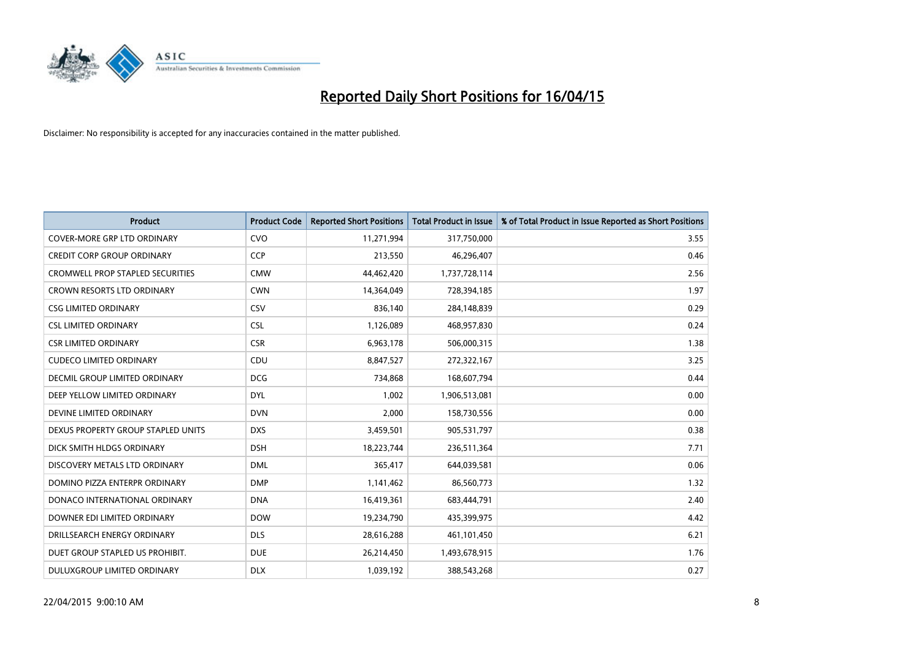

| <b>Product</b>                          | <b>Product Code</b> | <b>Reported Short Positions</b> | <b>Total Product in Issue</b> | % of Total Product in Issue Reported as Short Positions |
|-----------------------------------------|---------------------|---------------------------------|-------------------------------|---------------------------------------------------------|
| <b>COVER-MORE GRP LTD ORDINARY</b>      | <b>CVO</b>          | 11,271,994                      | 317,750,000                   | 3.55                                                    |
| <b>CREDIT CORP GROUP ORDINARY</b>       | <b>CCP</b>          | 213,550                         | 46,296,407                    | 0.46                                                    |
| <b>CROMWELL PROP STAPLED SECURITIES</b> | <b>CMW</b>          | 44,462,420                      | 1,737,728,114                 | 2.56                                                    |
| <b>CROWN RESORTS LTD ORDINARY</b>       | <b>CWN</b>          | 14,364,049                      | 728,394,185                   | 1.97                                                    |
| <b>CSG LIMITED ORDINARY</b>             | <b>CSV</b>          | 836,140                         | 284,148,839                   | 0.29                                                    |
| <b>CSL LIMITED ORDINARY</b>             | <b>CSL</b>          | 1,126,089                       | 468,957,830                   | 0.24                                                    |
| CSR LIMITED ORDINARY                    | <b>CSR</b>          | 6,963,178                       | 506,000,315                   | 1.38                                                    |
| <b>CUDECO LIMITED ORDINARY</b>          | CDU                 | 8,847,527                       | 272,322,167                   | 3.25                                                    |
| DECMIL GROUP LIMITED ORDINARY           | <b>DCG</b>          | 734,868                         | 168,607,794                   | 0.44                                                    |
| DEEP YELLOW LIMITED ORDINARY            | <b>DYL</b>          | 1,002                           | 1,906,513,081                 | 0.00                                                    |
| DEVINE LIMITED ORDINARY                 | <b>DVN</b>          | 2,000                           | 158,730,556                   | 0.00                                                    |
| DEXUS PROPERTY GROUP STAPLED UNITS      | <b>DXS</b>          | 3,459,501                       | 905,531,797                   | 0.38                                                    |
| DICK SMITH HLDGS ORDINARY               | <b>DSH</b>          | 18,223,744                      | 236,511,364                   | 7.71                                                    |
| DISCOVERY METALS LTD ORDINARY           | <b>DML</b>          | 365,417                         | 644,039,581                   | 0.06                                                    |
| DOMINO PIZZA ENTERPR ORDINARY           | <b>DMP</b>          | 1,141,462                       | 86,560,773                    | 1.32                                                    |
| DONACO INTERNATIONAL ORDINARY           | <b>DNA</b>          | 16,419,361                      | 683,444,791                   | 2.40                                                    |
| DOWNER EDI LIMITED ORDINARY             | <b>DOW</b>          | 19,234,790                      | 435,399,975                   | 4.42                                                    |
| DRILLSEARCH ENERGY ORDINARY             | <b>DLS</b>          | 28,616,288                      | 461,101,450                   | 6.21                                                    |
| DUET GROUP STAPLED US PROHIBIT.         | <b>DUE</b>          | 26,214,450                      | 1,493,678,915                 | 1.76                                                    |
| DULUXGROUP LIMITED ORDINARY             | <b>DLX</b>          | 1,039,192                       | 388,543,268                   | 0.27                                                    |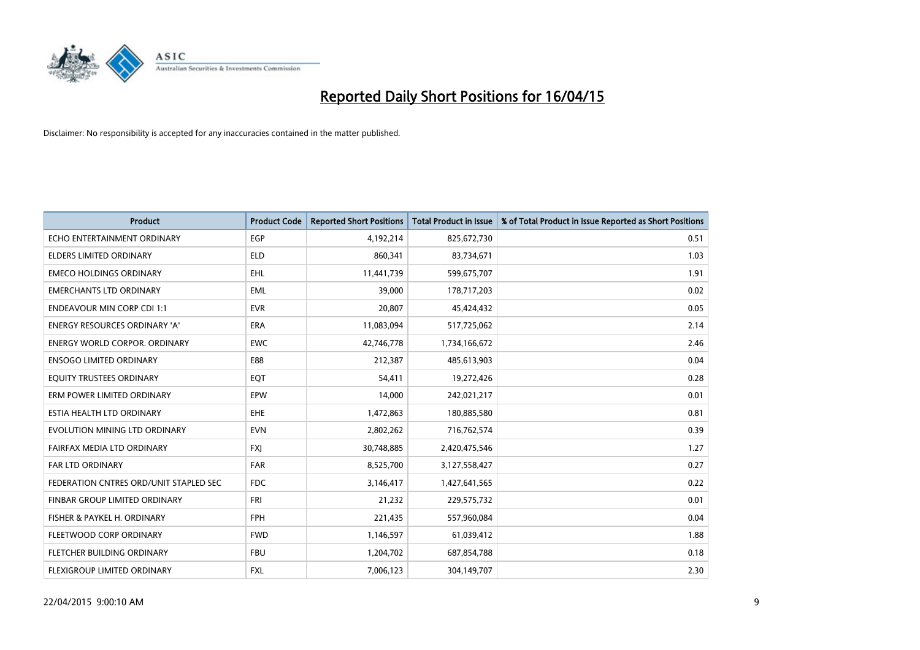

| <b>Product</b>                         | <b>Product Code</b> | <b>Reported Short Positions</b> | <b>Total Product in Issue</b> | % of Total Product in Issue Reported as Short Positions |
|----------------------------------------|---------------------|---------------------------------|-------------------------------|---------------------------------------------------------|
| ECHO ENTERTAINMENT ORDINARY            | <b>EGP</b>          | 4,192,214                       | 825,672,730                   | 0.51                                                    |
| ELDERS LIMITED ORDINARY                | <b>ELD</b>          | 860,341                         | 83,734,671                    | 1.03                                                    |
| <b>EMECO HOLDINGS ORDINARY</b>         | <b>EHL</b>          | 11,441,739                      | 599,675,707                   | 1.91                                                    |
| <b>EMERCHANTS LTD ORDINARY</b>         | <b>EML</b>          | 39,000                          | 178,717,203                   | 0.02                                                    |
| <b>ENDEAVOUR MIN CORP CDI 1:1</b>      | <b>EVR</b>          | 20,807                          | 45,424,432                    | 0.05                                                    |
| ENERGY RESOURCES ORDINARY 'A'          | <b>ERA</b>          | 11,083,094                      | 517,725,062                   | 2.14                                                    |
| ENERGY WORLD CORPOR. ORDINARY          | <b>EWC</b>          | 42,746,778                      | 1,734,166,672                 | 2.46                                                    |
| <b>ENSOGO LIMITED ORDINARY</b>         | E88                 | 212,387                         | 485,613,903                   | 0.04                                                    |
| EQUITY TRUSTEES ORDINARY               | EQT                 | 54,411                          | 19,272,426                    | 0.28                                                    |
| ERM POWER LIMITED ORDINARY             | EPW                 | 14,000                          | 242,021,217                   | 0.01                                                    |
| ESTIA HEALTH LTD ORDINARY              | <b>EHE</b>          | 1,472,863                       | 180,885,580                   | 0.81                                                    |
| EVOLUTION MINING LTD ORDINARY          | <b>EVN</b>          | 2,802,262                       | 716,762,574                   | 0.39                                                    |
| FAIRFAX MEDIA LTD ORDINARY             | <b>FXI</b>          | 30,748,885                      | 2,420,475,546                 | 1.27                                                    |
| <b>FAR LTD ORDINARY</b>                | <b>FAR</b>          | 8,525,700                       | 3,127,558,427                 | 0.27                                                    |
| FEDERATION CNTRES ORD/UNIT STAPLED SEC | <b>FDC</b>          | 3,146,417                       | 1,427,641,565                 | 0.22                                                    |
| FINBAR GROUP LIMITED ORDINARY          | <b>FRI</b>          | 21,232                          | 229,575,732                   | 0.01                                                    |
| FISHER & PAYKEL H. ORDINARY            | <b>FPH</b>          | 221,435                         | 557,960,084                   | 0.04                                                    |
| FLEETWOOD CORP ORDINARY                | <b>FWD</b>          | 1,146,597                       | 61,039,412                    | 1.88                                                    |
| FLETCHER BUILDING ORDINARY             | <b>FBU</b>          | 1,204,702                       | 687,854,788                   | 0.18                                                    |
| <b>FLEXIGROUP LIMITED ORDINARY</b>     | FXL                 | 7,006,123                       | 304,149,707                   | 2.30                                                    |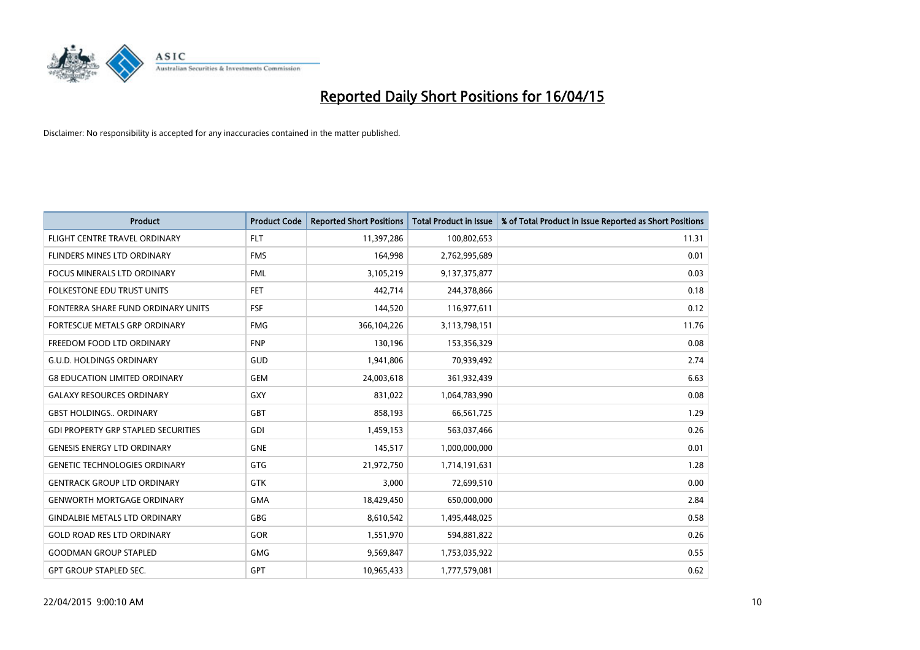

| <b>Product</b>                             | <b>Product Code</b> | <b>Reported Short Positions</b> | <b>Total Product in Issue</b> | % of Total Product in Issue Reported as Short Positions |
|--------------------------------------------|---------------------|---------------------------------|-------------------------------|---------------------------------------------------------|
| FLIGHT CENTRE TRAVEL ORDINARY              | <b>FLT</b>          | 11,397,286                      | 100,802,653                   | 11.31                                                   |
| FLINDERS MINES LTD ORDINARY                | <b>FMS</b>          | 164,998                         | 2,762,995,689                 | 0.01                                                    |
| FOCUS MINERALS LTD ORDINARY                | <b>FML</b>          | 3,105,219                       | 9,137,375,877                 | 0.03                                                    |
| <b>FOLKESTONE EDU TRUST UNITS</b>          | <b>FET</b>          | 442,714                         | 244,378,866                   | 0.18                                                    |
| FONTERRA SHARE FUND ORDINARY UNITS         | <b>FSF</b>          | 144,520                         | 116,977,611                   | 0.12                                                    |
| FORTESCUE METALS GRP ORDINARY              | <b>FMG</b>          | 366,104,226                     | 3,113,798,151                 | 11.76                                                   |
| FREEDOM FOOD LTD ORDINARY                  | <b>FNP</b>          | 130,196                         | 153,356,329                   | 0.08                                                    |
| <b>G.U.D. HOLDINGS ORDINARY</b>            | GUD                 | 1,941,806                       | 70,939,492                    | 2.74                                                    |
| <b>G8 EDUCATION LIMITED ORDINARY</b>       | <b>GEM</b>          | 24,003,618                      | 361,932,439                   | 6.63                                                    |
| <b>GALAXY RESOURCES ORDINARY</b>           | GXY                 | 831,022                         | 1,064,783,990                 | 0.08                                                    |
| <b>GBST HOLDINGS ORDINARY</b>              | GBT                 | 858,193                         | 66,561,725                    | 1.29                                                    |
| <b>GDI PROPERTY GRP STAPLED SECURITIES</b> | GDI                 | 1,459,153                       | 563,037,466                   | 0.26                                                    |
| <b>GENESIS ENERGY LTD ORDINARY</b>         | <b>GNE</b>          | 145,517                         | 1,000,000,000                 | 0.01                                                    |
| <b>GENETIC TECHNOLOGIES ORDINARY</b>       | GTG                 | 21,972,750                      | 1,714,191,631                 | 1.28                                                    |
| <b>GENTRACK GROUP LTD ORDINARY</b>         | GTK                 | 3,000                           | 72,699,510                    | 0.00                                                    |
| <b>GENWORTH MORTGAGE ORDINARY</b>          | <b>GMA</b>          | 18,429,450                      | 650,000,000                   | 2.84                                                    |
| <b>GINDALBIE METALS LTD ORDINARY</b>       | GBG                 | 8,610,542                       | 1,495,448,025                 | 0.58                                                    |
| <b>GOLD ROAD RES LTD ORDINARY</b>          | GOR                 | 1,551,970                       | 594,881,822                   | 0.26                                                    |
| <b>GOODMAN GROUP STAPLED</b>               | <b>GMG</b>          | 9,569,847                       | 1,753,035,922                 | 0.55                                                    |
| <b>GPT GROUP STAPLED SEC.</b>              | <b>GPT</b>          | 10,965,433                      | 1,777,579,081                 | 0.62                                                    |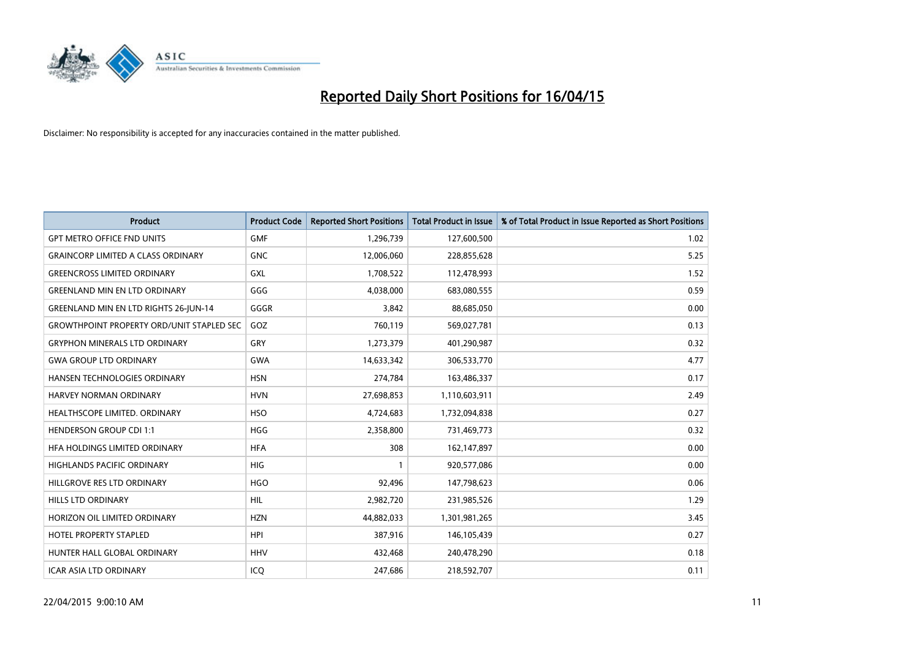

| <b>Product</b>                                   | <b>Product Code</b> | <b>Reported Short Positions</b> | <b>Total Product in Issue</b> | % of Total Product in Issue Reported as Short Positions |
|--------------------------------------------------|---------------------|---------------------------------|-------------------------------|---------------------------------------------------------|
| <b>GPT METRO OFFICE FND UNITS</b>                | <b>GMF</b>          | 1,296,739                       | 127,600,500                   | 1.02                                                    |
| <b>GRAINCORP LIMITED A CLASS ORDINARY</b>        | <b>GNC</b>          | 12,006,060                      | 228,855,628                   | 5.25                                                    |
| <b>GREENCROSS LIMITED ORDINARY</b>               | <b>GXL</b>          | 1,708,522                       | 112,478,993                   | 1.52                                                    |
| <b>GREENLAND MIN EN LTD ORDINARY</b>             | GGG                 | 4,038,000                       | 683,080,555                   | 0.59                                                    |
| <b>GREENLAND MIN EN LTD RIGHTS 26-JUN-14</b>     | GGGR                | 3,842                           | 88,685,050                    | 0.00                                                    |
| <b>GROWTHPOINT PROPERTY ORD/UNIT STAPLED SEC</b> | GOZ                 | 760,119                         | 569,027,781                   | 0.13                                                    |
| <b>GRYPHON MINERALS LTD ORDINARY</b>             | <b>GRY</b>          | 1,273,379                       | 401,290,987                   | 0.32                                                    |
| <b>GWA GROUP LTD ORDINARY</b>                    | GWA                 | 14,633,342                      | 306,533,770                   | 4.77                                                    |
| HANSEN TECHNOLOGIES ORDINARY                     | <b>HSN</b>          | 274,784                         | 163,486,337                   | 0.17                                                    |
| <b>HARVEY NORMAN ORDINARY</b>                    | <b>HVN</b>          | 27,698,853                      | 1,110,603,911                 | 2.49                                                    |
| HEALTHSCOPE LIMITED. ORDINARY                    | <b>HSO</b>          | 4,724,683                       | 1,732,094,838                 | 0.27                                                    |
| <b>HENDERSON GROUP CDI 1:1</b>                   | <b>HGG</b>          | 2,358,800                       | 731,469,773                   | 0.32                                                    |
| HFA HOLDINGS LIMITED ORDINARY                    | <b>HFA</b>          | 308                             | 162,147,897                   | 0.00                                                    |
| HIGHLANDS PACIFIC ORDINARY                       | HIG                 | $\mathbf{1}$                    | 920,577,086                   | 0.00                                                    |
| HILLGROVE RES LTD ORDINARY                       | <b>HGO</b>          | 92,496                          | 147,798,623                   | 0.06                                                    |
| HILLS LTD ORDINARY                               | <b>HIL</b>          | 2,982,720                       | 231,985,526                   | 1.29                                                    |
| HORIZON OIL LIMITED ORDINARY                     | <b>HZN</b>          | 44,882,033                      | 1,301,981,265                 | 3.45                                                    |
| <b>HOTEL PROPERTY STAPLED</b>                    | <b>HPI</b>          | 387,916                         | 146,105,439                   | 0.27                                                    |
| HUNTER HALL GLOBAL ORDINARY                      | <b>HHV</b>          | 432,468                         | 240,478,290                   | 0.18                                                    |
| ICAR ASIA LTD ORDINARY                           | ICQ                 | 247,686                         | 218,592,707                   | 0.11                                                    |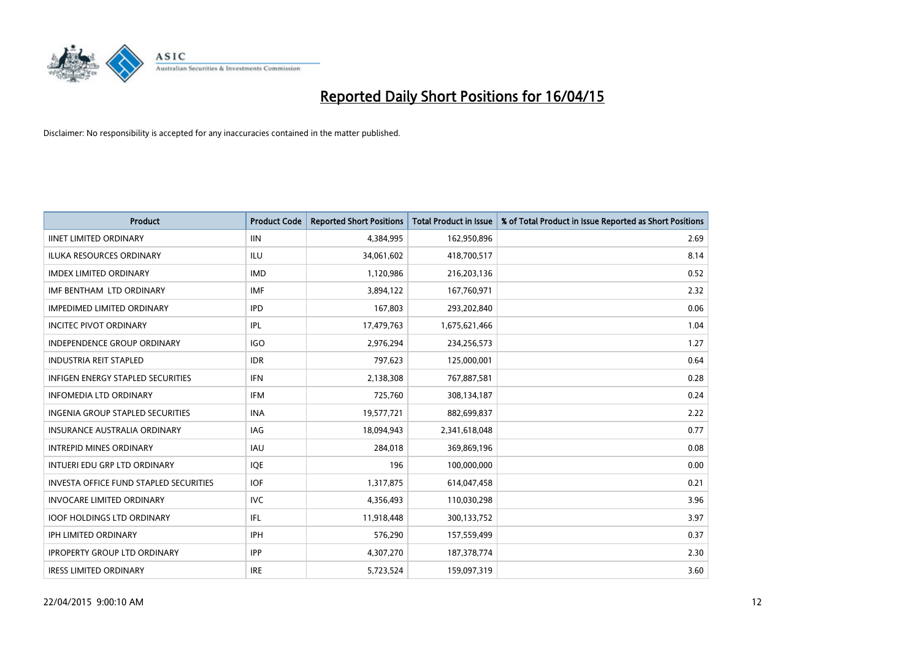

| <b>Product</b>                                | <b>Product Code</b> | <b>Reported Short Positions</b> | <b>Total Product in Issue</b> | % of Total Product in Issue Reported as Short Positions |
|-----------------------------------------------|---------------------|---------------------------------|-------------------------------|---------------------------------------------------------|
| <b>IINET LIMITED ORDINARY</b>                 | <b>IIN</b>          | 4,384,995                       | 162,950,896                   | 2.69                                                    |
| ILUKA RESOURCES ORDINARY                      | ILU                 | 34,061,602                      | 418,700,517                   | 8.14                                                    |
| <b>IMDEX LIMITED ORDINARY</b>                 | <b>IMD</b>          | 1,120,986                       | 216,203,136                   | 0.52                                                    |
| IMF BENTHAM LTD ORDINARY                      | <b>IMF</b>          | 3,894,122                       | 167,760,971                   | 2.32                                                    |
| <b>IMPEDIMED LIMITED ORDINARY</b>             | <b>IPD</b>          | 167,803                         | 293,202,840                   | 0.06                                                    |
| <b>INCITEC PIVOT ORDINARY</b>                 | IPL                 | 17,479,763                      | 1,675,621,466                 | 1.04                                                    |
| INDEPENDENCE GROUP ORDINARY                   | <b>IGO</b>          | 2,976,294                       | 234,256,573                   | 1.27                                                    |
| <b>INDUSTRIA REIT STAPLED</b>                 | <b>IDR</b>          | 797,623                         | 125,000,001                   | 0.64                                                    |
| <b>INFIGEN ENERGY STAPLED SECURITIES</b>      | <b>IFN</b>          | 2,138,308                       | 767,887,581                   | 0.28                                                    |
| <b>INFOMEDIA LTD ORDINARY</b>                 | <b>IFM</b>          | 725,760                         | 308,134,187                   | 0.24                                                    |
| INGENIA GROUP STAPLED SECURITIES              | <b>INA</b>          | 19,577,721                      | 882,699,837                   | 2.22                                                    |
| <b>INSURANCE AUSTRALIA ORDINARY</b>           | IAG                 | 18,094,943                      | 2,341,618,048                 | 0.77                                                    |
| <b>INTREPID MINES ORDINARY</b>                | <b>IAU</b>          | 284,018                         | 369,869,196                   | 0.08                                                    |
| INTUERI EDU GRP LTD ORDINARY                  | IQE                 | 196                             | 100,000,000                   | 0.00                                                    |
| <b>INVESTA OFFICE FUND STAPLED SECURITIES</b> | <b>IOF</b>          | 1,317,875                       | 614,047,458                   | 0.21                                                    |
| <b>INVOCARE LIMITED ORDINARY</b>              | <b>IVC</b>          | 4,356,493                       | 110,030,298                   | 3.96                                                    |
| <b>IOOF HOLDINGS LTD ORDINARY</b>             | IFL                 | 11,918,448                      | 300,133,752                   | 3.97                                                    |
| IPH LIMITED ORDINARY                          | <b>IPH</b>          | 576,290                         | 157,559,499                   | 0.37                                                    |
| <b>IPROPERTY GROUP LTD ORDINARY</b>           | <b>IPP</b>          | 4,307,270                       | 187, 378, 774                 | 2.30                                                    |
| <b>IRESS LIMITED ORDINARY</b>                 | <b>IRE</b>          | 5,723,524                       | 159,097,319                   | 3.60                                                    |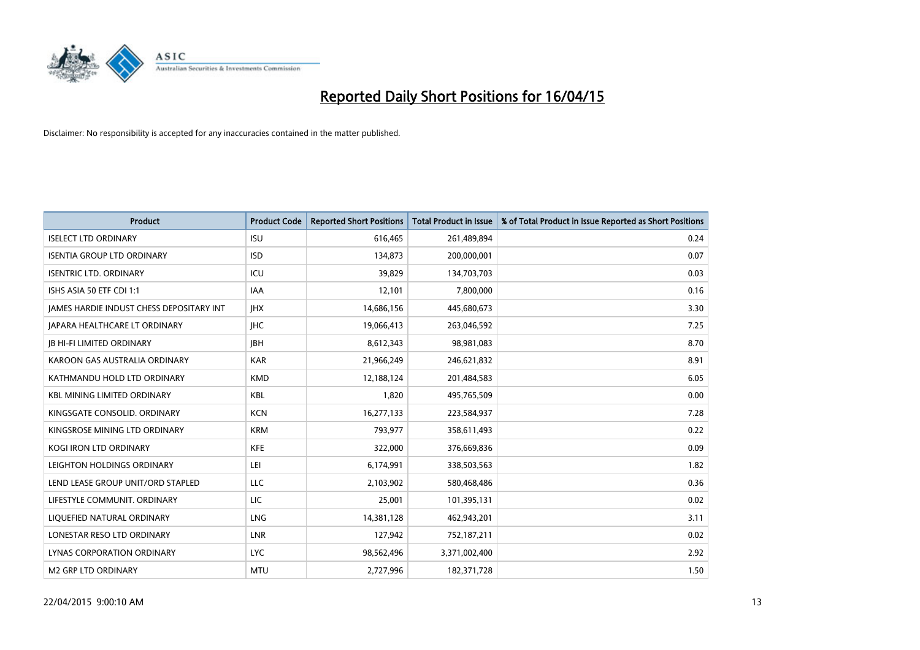

| <b>Product</b>                           | <b>Product Code</b> | <b>Reported Short Positions</b> | <b>Total Product in Issue</b> | % of Total Product in Issue Reported as Short Positions |
|------------------------------------------|---------------------|---------------------------------|-------------------------------|---------------------------------------------------------|
| <b>ISELECT LTD ORDINARY</b>              | <b>ISU</b>          | 616,465                         | 261,489,894                   | 0.24                                                    |
| <b>ISENTIA GROUP LTD ORDINARY</b>        | <b>ISD</b>          | 134,873                         | 200,000,001                   | 0.07                                                    |
| <b>ISENTRIC LTD. ORDINARY</b>            | ICU                 | 39,829                          | 134,703,703                   | 0.03                                                    |
| ISHS ASIA 50 ETF CDI 1:1                 | IAA                 | 12,101                          | 7,800,000                     | 0.16                                                    |
| JAMES HARDIE INDUST CHESS DEPOSITARY INT | <b>IHX</b>          | 14,686,156                      | 445,680,673                   | 3.30                                                    |
| <b>JAPARA HEALTHCARE LT ORDINARY</b>     | <b>IHC</b>          | 19,066,413                      | 263,046,592                   | 7.25                                                    |
| <b>JB HI-FI LIMITED ORDINARY</b>         | <b>JBH</b>          | 8,612,343                       | 98,981,083                    | 8.70                                                    |
| KAROON GAS AUSTRALIA ORDINARY            | <b>KAR</b>          | 21,966,249                      | 246,621,832                   | 8.91                                                    |
| KATHMANDU HOLD LTD ORDINARY              | <b>KMD</b>          | 12,188,124                      | 201,484,583                   | 6.05                                                    |
| <b>KBL MINING LIMITED ORDINARY</b>       | <b>KBL</b>          | 1,820                           | 495,765,509                   | 0.00                                                    |
| KINGSGATE CONSOLID. ORDINARY             | <b>KCN</b>          | 16,277,133                      | 223,584,937                   | 7.28                                                    |
| KINGSROSE MINING LTD ORDINARY            | <b>KRM</b>          | 793,977                         | 358,611,493                   | 0.22                                                    |
| KOGI IRON LTD ORDINARY                   | KFE                 | 322,000                         | 376,669,836                   | 0.09                                                    |
| LEIGHTON HOLDINGS ORDINARY               | LEI                 | 6,174,991                       | 338,503,563                   | 1.82                                                    |
| LEND LEASE GROUP UNIT/ORD STAPLED        | <b>LLC</b>          | 2,103,902                       | 580,468,486                   | 0.36                                                    |
| LIFESTYLE COMMUNIT. ORDINARY             | LIC                 | 25,001                          | 101,395,131                   | 0.02                                                    |
| LIQUEFIED NATURAL ORDINARY               | LNG                 | 14,381,128                      | 462,943,201                   | 3.11                                                    |
| LONESTAR RESO LTD ORDINARY               | <b>LNR</b>          | 127,942                         | 752,187,211                   | 0.02                                                    |
| LYNAS CORPORATION ORDINARY               | <b>LYC</b>          | 98,562,496                      | 3,371,002,400                 | 2.92                                                    |
| M2 GRP LTD ORDINARY                      | <b>MTU</b>          | 2,727,996                       | 182,371,728                   | 1.50                                                    |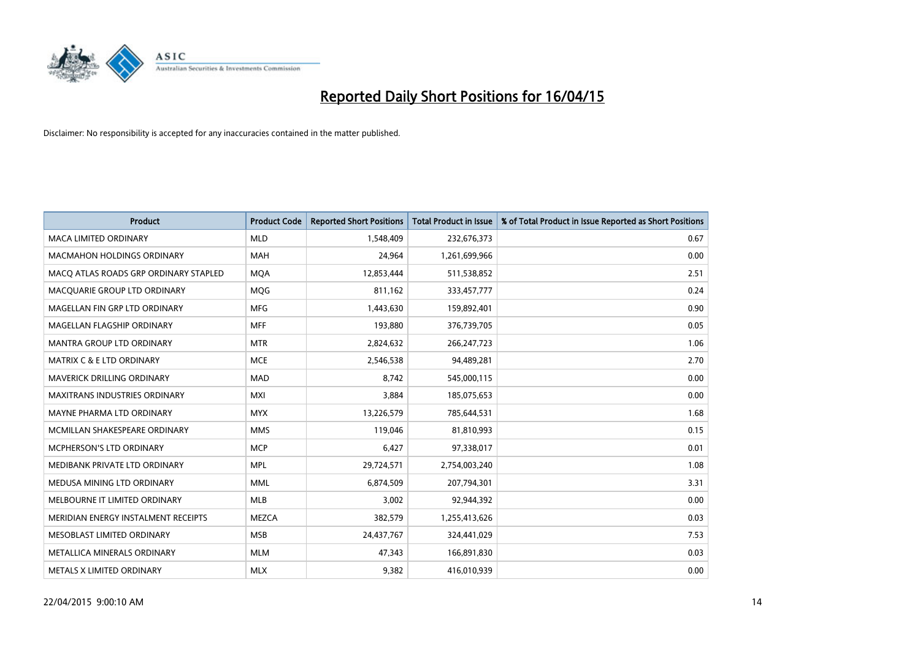

| <b>Product</b>                        | <b>Product Code</b> | <b>Reported Short Positions</b> | <b>Total Product in Issue</b> | % of Total Product in Issue Reported as Short Positions |
|---------------------------------------|---------------------|---------------------------------|-------------------------------|---------------------------------------------------------|
| <b>MACA LIMITED ORDINARY</b>          | <b>MLD</b>          | 1,548,409                       | 232,676,373                   | 0.67                                                    |
| MACMAHON HOLDINGS ORDINARY            | <b>MAH</b>          | 24,964                          | 1,261,699,966                 | 0.00                                                    |
| MACO ATLAS ROADS GRP ORDINARY STAPLED | <b>MQA</b>          | 12,853,444                      | 511,538,852                   | 2.51                                                    |
| MACQUARIE GROUP LTD ORDINARY          | <b>MOG</b>          | 811,162                         | 333,457,777                   | 0.24                                                    |
| MAGELLAN FIN GRP LTD ORDINARY         | <b>MFG</b>          | 1,443,630                       | 159,892,401                   | 0.90                                                    |
| MAGELLAN FLAGSHIP ORDINARY            | <b>MFF</b>          | 193,880                         | 376,739,705                   | 0.05                                                    |
| MANTRA GROUP LTD ORDINARY             | <b>MTR</b>          | 2,824,632                       | 266,247,723                   | 1.06                                                    |
| MATRIX C & E LTD ORDINARY             | <b>MCE</b>          | 2,546,538                       | 94,489,281                    | 2.70                                                    |
| MAVERICK DRILLING ORDINARY            | <b>MAD</b>          | 8,742                           | 545,000,115                   | 0.00                                                    |
| <b>MAXITRANS INDUSTRIES ORDINARY</b>  | <b>MXI</b>          | 3,884                           | 185,075,653                   | 0.00                                                    |
| MAYNE PHARMA LTD ORDINARY             | <b>MYX</b>          | 13,226,579                      | 785,644,531                   | 1.68                                                    |
| MCMILLAN SHAKESPEARE ORDINARY         | <b>MMS</b>          | 119,046                         | 81,810,993                    | 0.15                                                    |
| MCPHERSON'S LTD ORDINARY              | <b>MCP</b>          | 6,427                           | 97,338,017                    | 0.01                                                    |
| MEDIBANK PRIVATE LTD ORDINARY         | <b>MPL</b>          | 29,724,571                      | 2,754,003,240                 | 1.08                                                    |
| MEDUSA MINING LTD ORDINARY            | <b>MML</b>          | 6,874,509                       | 207,794,301                   | 3.31                                                    |
| MELBOURNE IT LIMITED ORDINARY         | MLB                 | 3,002                           | 92,944,392                    | 0.00                                                    |
| MERIDIAN ENERGY INSTALMENT RECEIPTS   | MEZCA               | 382,579                         | 1,255,413,626                 | 0.03                                                    |
| MESOBLAST LIMITED ORDINARY            | <b>MSB</b>          | 24,437,767                      | 324,441,029                   | 7.53                                                    |
| <b>METALLICA MINERALS ORDINARY</b>    | <b>MLM</b>          | 47,343                          | 166,891,830                   | 0.03                                                    |
| METALS X LIMITED ORDINARY             | <b>MLX</b>          | 9,382                           | 416,010,939                   | 0.00                                                    |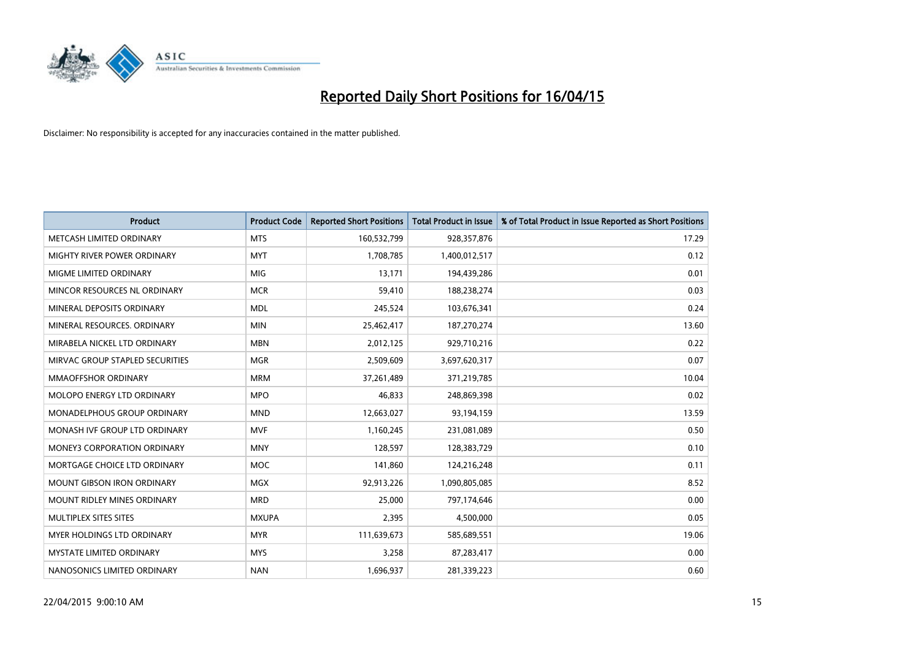

| <b>Product</b>                     | <b>Product Code</b> | <b>Reported Short Positions</b> | <b>Total Product in Issue</b> | % of Total Product in Issue Reported as Short Positions |
|------------------------------------|---------------------|---------------------------------|-------------------------------|---------------------------------------------------------|
| METCASH LIMITED ORDINARY           | <b>MTS</b>          | 160,532,799                     | 928,357,876                   | 17.29                                                   |
| MIGHTY RIVER POWER ORDINARY        | <b>MYT</b>          | 1,708,785                       | 1,400,012,517                 | 0.12                                                    |
| MIGME LIMITED ORDINARY             | <b>MIG</b>          | 13,171                          | 194,439,286                   | 0.01                                                    |
| MINCOR RESOURCES NL ORDINARY       | <b>MCR</b>          | 59,410                          | 188,238,274                   | 0.03                                                    |
| MINERAL DEPOSITS ORDINARY          | <b>MDL</b>          | 245,524                         | 103,676,341                   | 0.24                                                    |
| MINERAL RESOURCES, ORDINARY        | <b>MIN</b>          | 25,462,417                      | 187,270,274                   | 13.60                                                   |
| MIRABELA NICKEL LTD ORDINARY       | <b>MBN</b>          | 2,012,125                       | 929,710,216                   | 0.22                                                    |
| MIRVAC GROUP STAPLED SECURITIES    | <b>MGR</b>          | 2,509,609                       | 3,697,620,317                 | 0.07                                                    |
| <b>MMAOFFSHOR ORDINARY</b>         | <b>MRM</b>          | 37,261,489                      | 371,219,785                   | 10.04                                                   |
| MOLOPO ENERGY LTD ORDINARY         | <b>MPO</b>          | 46,833                          | 248,869,398                   | 0.02                                                    |
| MONADELPHOUS GROUP ORDINARY        | <b>MND</b>          | 12,663,027                      | 93,194,159                    | 13.59                                                   |
| MONASH IVF GROUP LTD ORDINARY      | <b>MVF</b>          | 1,160,245                       | 231,081,089                   | 0.50                                                    |
| <b>MONEY3 CORPORATION ORDINARY</b> | <b>MNY</b>          | 128,597                         | 128,383,729                   | 0.10                                                    |
| MORTGAGE CHOICE LTD ORDINARY       | <b>MOC</b>          | 141,860                         | 124,216,248                   | 0.11                                                    |
| <b>MOUNT GIBSON IRON ORDINARY</b>  | <b>MGX</b>          | 92,913,226                      | 1,090,805,085                 | 8.52                                                    |
| <b>MOUNT RIDLEY MINES ORDINARY</b> | <b>MRD</b>          | 25,000                          | 797,174,646                   | 0.00                                                    |
| MULTIPLEX SITES SITES              | <b>MXUPA</b>        | 2,395                           | 4,500,000                     | 0.05                                                    |
| MYER HOLDINGS LTD ORDINARY         | <b>MYR</b>          | 111,639,673                     | 585,689,551                   | 19.06                                                   |
| <b>MYSTATE LIMITED ORDINARY</b>    | <b>MYS</b>          | 3,258                           | 87,283,417                    | 0.00                                                    |
| NANOSONICS LIMITED ORDINARY        | <b>NAN</b>          | 1,696,937                       | 281,339,223                   | 0.60                                                    |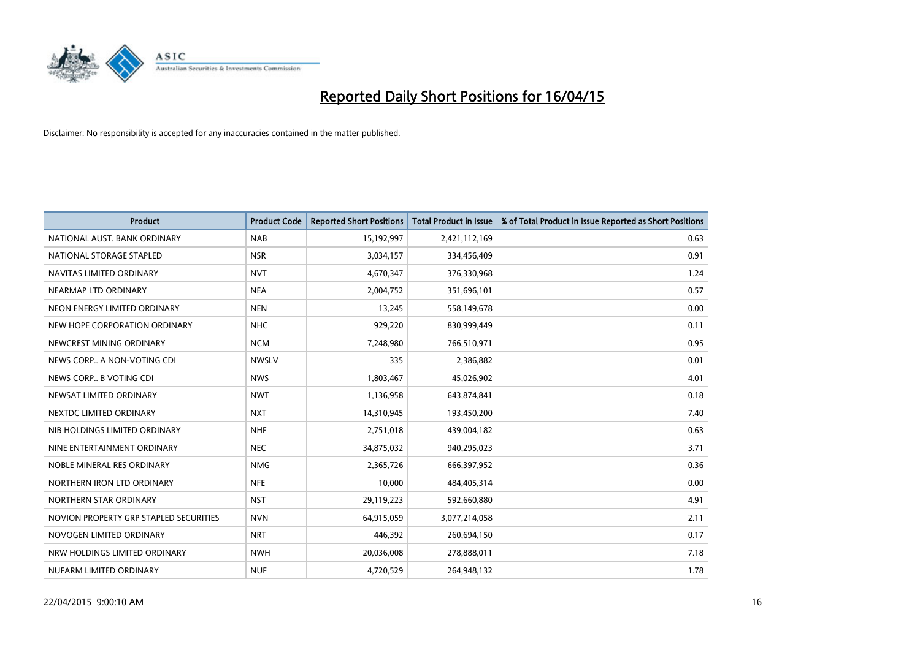

| <b>Product</b>                         | <b>Product Code</b> | <b>Reported Short Positions</b> | <b>Total Product in Issue</b> | % of Total Product in Issue Reported as Short Positions |
|----------------------------------------|---------------------|---------------------------------|-------------------------------|---------------------------------------------------------|
| NATIONAL AUST. BANK ORDINARY           | <b>NAB</b>          | 15,192,997                      | 2,421,112,169                 | 0.63                                                    |
| NATIONAL STORAGE STAPLED               | <b>NSR</b>          | 3,034,157                       | 334,456,409                   | 0.91                                                    |
| NAVITAS LIMITED ORDINARY               | <b>NVT</b>          | 4,670,347                       | 376,330,968                   | 1.24                                                    |
| NEARMAP LTD ORDINARY                   | <b>NEA</b>          | 2,004,752                       | 351,696,101                   | 0.57                                                    |
| NEON ENERGY LIMITED ORDINARY           | <b>NEN</b>          | 13,245                          | 558,149,678                   | 0.00                                                    |
| NEW HOPE CORPORATION ORDINARY          | <b>NHC</b>          | 929,220                         | 830,999,449                   | 0.11                                                    |
| NEWCREST MINING ORDINARY               | <b>NCM</b>          | 7,248,980                       | 766,510,971                   | 0.95                                                    |
| NEWS CORP A NON-VOTING CDI             | <b>NWSLV</b>        | 335                             | 2,386,882                     | 0.01                                                    |
| NEWS CORP B VOTING CDI                 | <b>NWS</b>          | 1,803,467                       | 45,026,902                    | 4.01                                                    |
| NEWSAT LIMITED ORDINARY                | <b>NWT</b>          | 1,136,958                       | 643,874,841                   | 0.18                                                    |
| NEXTDC LIMITED ORDINARY                | <b>NXT</b>          | 14,310,945                      | 193,450,200                   | 7.40                                                    |
| NIB HOLDINGS LIMITED ORDINARY          | <b>NHF</b>          | 2,751,018                       | 439,004,182                   | 0.63                                                    |
| NINE ENTERTAINMENT ORDINARY            | <b>NEC</b>          | 34,875,032                      | 940,295,023                   | 3.71                                                    |
| NOBLE MINERAL RES ORDINARY             | <b>NMG</b>          | 2,365,726                       | 666,397,952                   | 0.36                                                    |
| NORTHERN IRON LTD ORDINARY             | <b>NFE</b>          | 10,000                          | 484,405,314                   | 0.00                                                    |
| NORTHERN STAR ORDINARY                 | <b>NST</b>          | 29,119,223                      | 592,660,880                   | 4.91                                                    |
| NOVION PROPERTY GRP STAPLED SECURITIES | <b>NVN</b>          | 64,915,059                      | 3,077,214,058                 | 2.11                                                    |
| NOVOGEN LIMITED ORDINARY               | <b>NRT</b>          | 446,392                         | 260,694,150                   | 0.17                                                    |
| NRW HOLDINGS LIMITED ORDINARY          | <b>NWH</b>          | 20,036,008                      | 278,888,011                   | 7.18                                                    |
| NUFARM LIMITED ORDINARY                | <b>NUF</b>          | 4,720,529                       | 264,948,132                   | 1.78                                                    |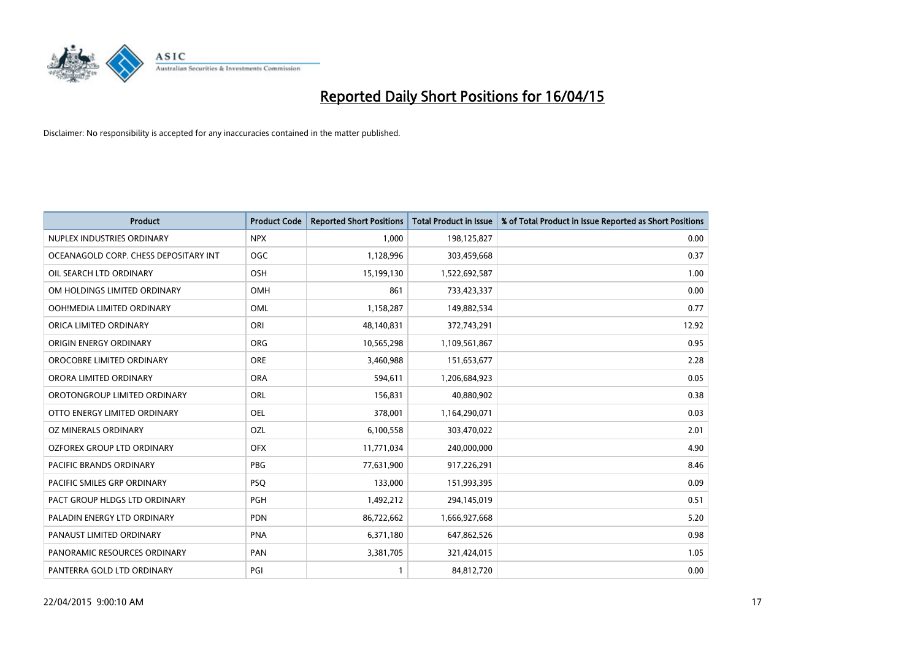

| <b>Product</b>                        | <b>Product Code</b> | <b>Reported Short Positions</b> | <b>Total Product in Issue</b> | % of Total Product in Issue Reported as Short Positions |
|---------------------------------------|---------------------|---------------------------------|-------------------------------|---------------------------------------------------------|
| NUPLEX INDUSTRIES ORDINARY            | <b>NPX</b>          | 1,000                           | 198,125,827                   | 0.00                                                    |
| OCEANAGOLD CORP. CHESS DEPOSITARY INT | <b>OGC</b>          | 1,128,996                       | 303,459,668                   | 0.37                                                    |
| OIL SEARCH LTD ORDINARY               | OSH                 | 15,199,130                      | 1,522,692,587                 | 1.00                                                    |
| OM HOLDINGS LIMITED ORDINARY          | OMH                 | 861                             | 733,423,337                   | 0.00                                                    |
| OOH!MEDIA LIMITED ORDINARY            | OML                 | 1,158,287                       | 149,882,534                   | 0.77                                                    |
| ORICA LIMITED ORDINARY                | ORI                 | 48,140,831                      | 372,743,291                   | 12.92                                                   |
| ORIGIN ENERGY ORDINARY                | <b>ORG</b>          | 10,565,298                      | 1,109,561,867                 | 0.95                                                    |
| OROCOBRE LIMITED ORDINARY             | <b>ORE</b>          | 3,460,988                       | 151,653,677                   | 2.28                                                    |
| ORORA LIMITED ORDINARY                | <b>ORA</b>          | 594,611                         | 1,206,684,923                 | 0.05                                                    |
| OROTONGROUP LIMITED ORDINARY          | ORL                 | 156,831                         | 40,880,902                    | 0.38                                                    |
| OTTO ENERGY LIMITED ORDINARY          | OEL                 | 378,001                         | 1,164,290,071                 | 0.03                                                    |
| OZ MINERALS ORDINARY                  | <b>OZL</b>          | 6,100,558                       | 303,470,022                   | 2.01                                                    |
| OZFOREX GROUP LTD ORDINARY            | <b>OFX</b>          | 11,771,034                      | 240,000,000                   | 4.90                                                    |
| <b>PACIFIC BRANDS ORDINARY</b>        | <b>PBG</b>          | 77,631,900                      | 917,226,291                   | 8.46                                                    |
| PACIFIC SMILES GRP ORDINARY           | <b>PSQ</b>          | 133,000                         | 151,993,395                   | 0.09                                                    |
| PACT GROUP HLDGS LTD ORDINARY         | PGH                 | 1,492,212                       | 294,145,019                   | 0.51                                                    |
| PALADIN ENERGY LTD ORDINARY           | <b>PDN</b>          | 86,722,662                      | 1,666,927,668                 | 5.20                                                    |
| PANAUST LIMITED ORDINARY              | <b>PNA</b>          | 6,371,180                       | 647,862,526                   | 0.98                                                    |
| PANORAMIC RESOURCES ORDINARY          | PAN                 | 3,381,705                       | 321,424,015                   | 1.05                                                    |
| PANTERRA GOLD LTD ORDINARY            | PGI                 |                                 | 84,812,720                    | 0.00                                                    |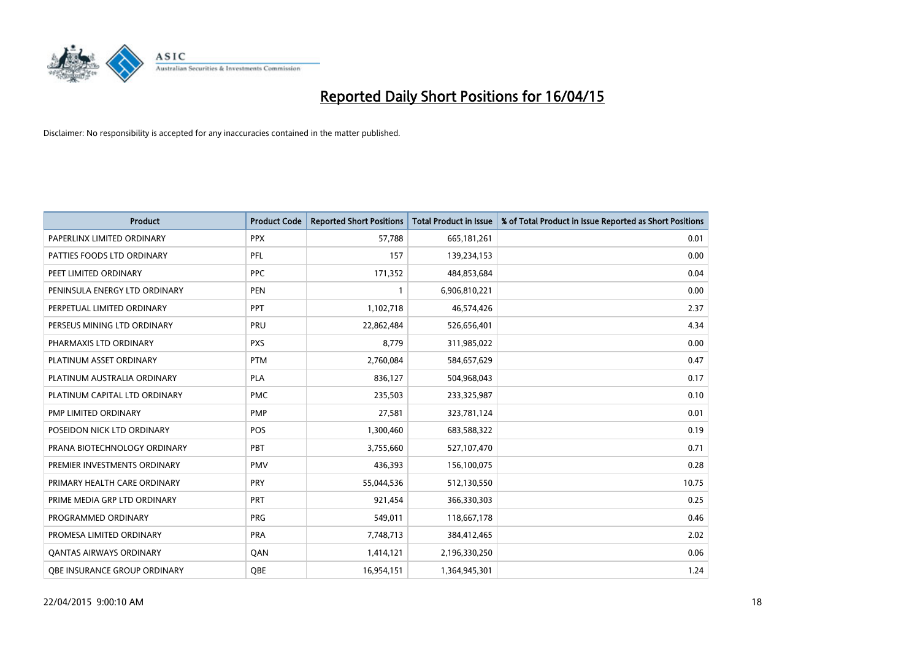

| <b>Product</b>                 | <b>Product Code</b> | <b>Reported Short Positions</b> | <b>Total Product in Issue</b> | % of Total Product in Issue Reported as Short Positions |
|--------------------------------|---------------------|---------------------------------|-------------------------------|---------------------------------------------------------|
| PAPERLINX LIMITED ORDINARY     | <b>PPX</b>          | 57,788                          | 665, 181, 261                 | 0.01                                                    |
| PATTIES FOODS LTD ORDINARY     | <b>PFL</b>          | 157                             | 139,234,153                   | 0.00                                                    |
| PEET LIMITED ORDINARY          | <b>PPC</b>          | 171,352                         | 484,853,684                   | 0.04                                                    |
| PENINSULA ENERGY LTD ORDINARY  | <b>PEN</b>          | 1                               | 6,906,810,221                 | 0.00                                                    |
| PERPETUAL LIMITED ORDINARY     | <b>PPT</b>          | 1,102,718                       | 46,574,426                    | 2.37                                                    |
| PERSEUS MINING LTD ORDINARY    | PRU                 | 22,862,484                      | 526,656,401                   | 4.34                                                    |
| PHARMAXIS LTD ORDINARY         | <b>PXS</b>          | 8,779                           | 311,985,022                   | 0.00                                                    |
| PLATINUM ASSET ORDINARY        | <b>PTM</b>          | 2,760,084                       | 584,657,629                   | 0.47                                                    |
| PLATINUM AUSTRALIA ORDINARY    | PLA                 | 836,127                         | 504,968,043                   | 0.17                                                    |
| PLATINUM CAPITAL LTD ORDINARY  | <b>PMC</b>          | 235,503                         | 233,325,987                   | 0.10                                                    |
| PMP LIMITED ORDINARY           | <b>PMP</b>          | 27,581                          | 323,781,124                   | 0.01                                                    |
| POSEIDON NICK LTD ORDINARY     | <b>POS</b>          | 1,300,460                       | 683,588,322                   | 0.19                                                    |
| PRANA BIOTECHNOLOGY ORDINARY   | PBT                 | 3,755,660                       | 527,107,470                   | 0.71                                                    |
| PREMIER INVESTMENTS ORDINARY   | <b>PMV</b>          | 436,393                         | 156,100,075                   | 0.28                                                    |
| PRIMARY HEALTH CARE ORDINARY   | <b>PRY</b>          | 55,044,536                      | 512,130,550                   | 10.75                                                   |
| PRIME MEDIA GRP LTD ORDINARY   | <b>PRT</b>          | 921,454                         | 366,330,303                   | 0.25                                                    |
| PROGRAMMED ORDINARY            | <b>PRG</b>          | 549,011                         | 118,667,178                   | 0.46                                                    |
| PROMESA LIMITED ORDINARY       | <b>PRA</b>          | 7,748,713                       | 384,412,465                   | 2.02                                                    |
| <b>QANTAS AIRWAYS ORDINARY</b> | QAN                 | 1,414,121                       | 2,196,330,250                 | 0.06                                                    |
| OBE INSURANCE GROUP ORDINARY   | <b>QBE</b>          | 16,954,151                      | 1,364,945,301                 | 1.24                                                    |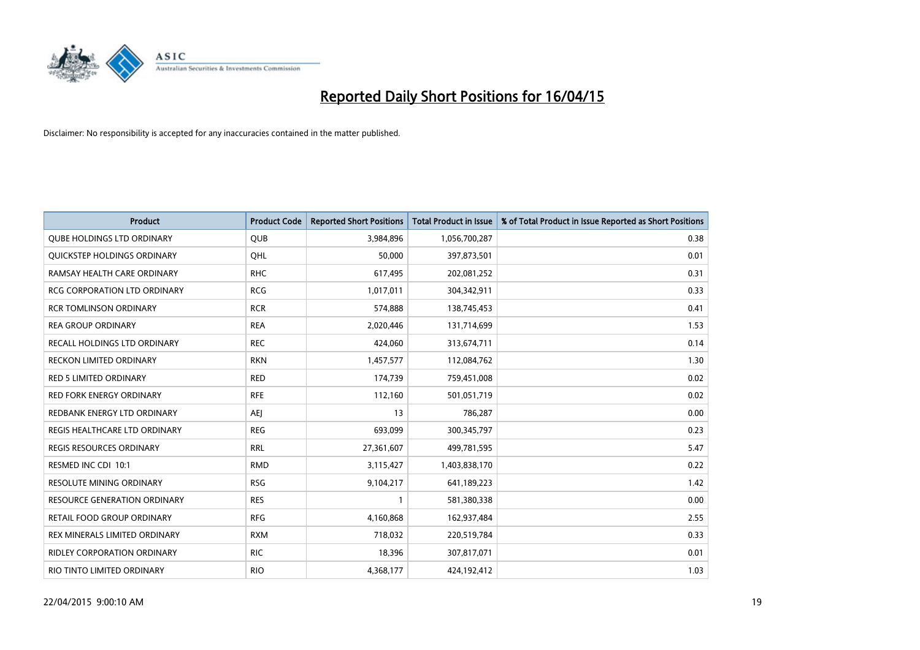

| <b>Product</b>                     | <b>Product Code</b> | <b>Reported Short Positions</b> | <b>Total Product in Issue</b> | % of Total Product in Issue Reported as Short Positions |
|------------------------------------|---------------------|---------------------------------|-------------------------------|---------------------------------------------------------|
| <b>QUBE HOLDINGS LTD ORDINARY</b>  | QUB                 | 3,984,896                       | 1,056,700,287                 | 0.38                                                    |
| QUICKSTEP HOLDINGS ORDINARY        | OHL                 | 50,000                          | 397,873,501                   | 0.01                                                    |
| RAMSAY HEALTH CARE ORDINARY        | <b>RHC</b>          | 617,495                         | 202,081,252                   | 0.31                                                    |
| RCG CORPORATION LTD ORDINARY       | <b>RCG</b>          | 1,017,011                       | 304,342,911                   | 0.33                                                    |
| <b>RCR TOMLINSON ORDINARY</b>      | <b>RCR</b>          | 574,888                         | 138,745,453                   | 0.41                                                    |
| <b>REA GROUP ORDINARY</b>          | <b>REA</b>          | 2,020,446                       | 131,714,699                   | 1.53                                                    |
| RECALL HOLDINGS LTD ORDINARY       | <b>REC</b>          | 424,060                         | 313,674,711                   | 0.14                                                    |
| RECKON LIMITED ORDINARY            | <b>RKN</b>          | 1,457,577                       | 112,084,762                   | 1.30                                                    |
| <b>RED 5 LIMITED ORDINARY</b>      | <b>RED</b>          | 174,739                         | 759,451,008                   | 0.02                                                    |
| <b>RED FORK ENERGY ORDINARY</b>    | <b>RFE</b>          | 112,160                         | 501,051,719                   | 0.02                                                    |
| REDBANK ENERGY LTD ORDINARY        | <b>AEJ</b>          | 13                              | 786,287                       | 0.00                                                    |
| REGIS HEALTHCARE LTD ORDINARY      | <b>REG</b>          | 693,099                         | 300,345,797                   | 0.23                                                    |
| REGIS RESOURCES ORDINARY           | <b>RRL</b>          | 27,361,607                      | 499,781,595                   | 5.47                                                    |
| RESMED INC CDI 10:1                | <b>RMD</b>          | 3,115,427                       | 1,403,838,170                 | 0.22                                                    |
| <b>RESOLUTE MINING ORDINARY</b>    | <b>RSG</b>          | 9,104,217                       | 641,189,223                   | 1.42                                                    |
| RESOURCE GENERATION ORDINARY       | <b>RES</b>          |                                 | 581,380,338                   | 0.00                                                    |
| RETAIL FOOD GROUP ORDINARY         | <b>RFG</b>          | 4,160,868                       | 162,937,484                   | 2.55                                                    |
| REX MINERALS LIMITED ORDINARY      | <b>RXM</b>          | 718,032                         | 220,519,784                   | 0.33                                                    |
| <b>RIDLEY CORPORATION ORDINARY</b> | <b>RIC</b>          | 18,396                          | 307,817,071                   | 0.01                                                    |
| RIO TINTO LIMITED ORDINARY         | <b>RIO</b>          | 4,368,177                       | 424,192,412                   | 1.03                                                    |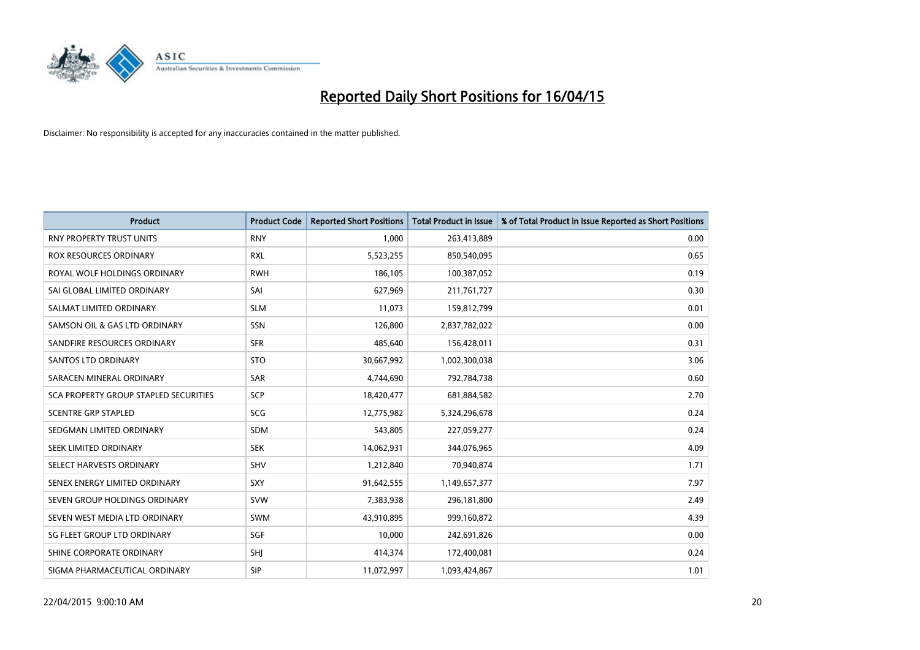

| <b>Product</b>                        | <b>Product Code</b> | <b>Reported Short Positions</b> | <b>Total Product in Issue</b> | % of Total Product in Issue Reported as Short Positions |
|---------------------------------------|---------------------|---------------------------------|-------------------------------|---------------------------------------------------------|
| <b>RNY PROPERTY TRUST UNITS</b>       | <b>RNY</b>          | 1,000                           | 263,413,889                   | 0.00                                                    |
| <b>ROX RESOURCES ORDINARY</b>         | <b>RXL</b>          | 5,523,255                       | 850,540,095                   | 0.65                                                    |
| ROYAL WOLF HOLDINGS ORDINARY          | <b>RWH</b>          | 186,105                         | 100,387,052                   | 0.19                                                    |
| SAI GLOBAL LIMITED ORDINARY           | SAI                 | 627,969                         | 211,761,727                   | 0.30                                                    |
| SALMAT LIMITED ORDINARY               | <b>SLM</b>          | 11,073                          | 159,812,799                   | 0.01                                                    |
| SAMSON OIL & GAS LTD ORDINARY         | SSN                 | 126,800                         | 2,837,782,022                 | 0.00                                                    |
| SANDFIRE RESOURCES ORDINARY           | <b>SFR</b>          | 485,640                         | 156,428,011                   | 0.31                                                    |
| <b>SANTOS LTD ORDINARY</b>            | <b>STO</b>          | 30,667,992                      | 1,002,300,038                 | 3.06                                                    |
| SARACEN MINERAL ORDINARY              | SAR                 | 4,744,690                       | 792,784,738                   | 0.60                                                    |
| SCA PROPERTY GROUP STAPLED SECURITIES | SCP                 | 18,420,477                      | 681,884,582                   | 2.70                                                    |
| <b>SCENTRE GRP STAPLED</b>            | <b>SCG</b>          | 12,775,982                      | 5,324,296,678                 | 0.24                                                    |
| SEDGMAN LIMITED ORDINARY              | SDM                 | 543,805                         | 227,059,277                   | 0.24                                                    |
| SEEK LIMITED ORDINARY                 | <b>SEK</b>          | 14,062,931                      | 344,076,965                   | 4.09                                                    |
| SELECT HARVESTS ORDINARY              | SHV                 | 1,212,840                       | 70,940,874                    | 1.71                                                    |
| SENEX ENERGY LIMITED ORDINARY         | <b>SXY</b>          | 91,642,555                      | 1,149,657,377                 | 7.97                                                    |
| SEVEN GROUP HOLDINGS ORDINARY         | <b>SVW</b>          | 7,383,938                       | 296,181,800                   | 2.49                                                    |
| SEVEN WEST MEDIA LTD ORDINARY         | <b>SWM</b>          | 43,910,895                      | 999,160,872                   | 4.39                                                    |
| SG FLEET GROUP LTD ORDINARY           | SGF                 | 10,000                          | 242,691,826                   | 0.00                                                    |
| SHINE CORPORATE ORDINARY              | SHI                 | 414,374                         | 172,400,081                   | 0.24                                                    |
| SIGMA PHARMACEUTICAL ORDINARY         | <b>SIP</b>          | 11,072,997                      | 1,093,424,867                 | 1.01                                                    |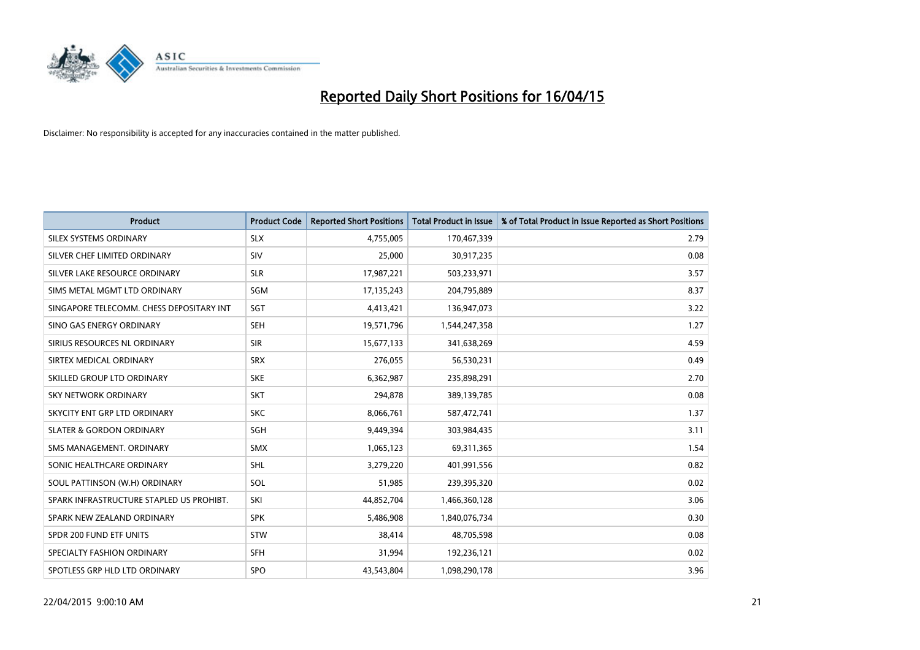

| <b>Product</b>                           | <b>Product Code</b> | <b>Reported Short Positions</b> | <b>Total Product in Issue</b> | % of Total Product in Issue Reported as Short Positions |
|------------------------------------------|---------------------|---------------------------------|-------------------------------|---------------------------------------------------------|
| SILEX SYSTEMS ORDINARY                   | <b>SLX</b>          | 4,755,005                       | 170,467,339                   | 2.79                                                    |
| SILVER CHEF LIMITED ORDINARY             | <b>SIV</b>          | 25,000                          | 30,917,235                    | 0.08                                                    |
| SILVER LAKE RESOURCE ORDINARY            | <b>SLR</b>          | 17,987,221                      | 503,233,971                   | 3.57                                                    |
| SIMS METAL MGMT LTD ORDINARY             | <b>SGM</b>          | 17,135,243                      | 204,795,889                   | 8.37                                                    |
| SINGAPORE TELECOMM. CHESS DEPOSITARY INT | SGT                 | 4,413,421                       | 136,947,073                   | 3.22                                                    |
| SINO GAS ENERGY ORDINARY                 | <b>SEH</b>          | 19,571,796                      | 1,544,247,358                 | 1.27                                                    |
| SIRIUS RESOURCES NL ORDINARY             | <b>SIR</b>          | 15,677,133                      | 341,638,269                   | 4.59                                                    |
| SIRTEX MEDICAL ORDINARY                  | <b>SRX</b>          | 276,055                         | 56,530,231                    | 0.49                                                    |
| SKILLED GROUP LTD ORDINARY               | <b>SKE</b>          | 6,362,987                       | 235,898,291                   | 2.70                                                    |
| <b>SKY NETWORK ORDINARY</b>              | <b>SKT</b>          | 294,878                         | 389,139,785                   | 0.08                                                    |
| SKYCITY ENT GRP LTD ORDINARY             | <b>SKC</b>          | 8,066,761                       | 587,472,741                   | 1.37                                                    |
| <b>SLATER &amp; GORDON ORDINARY</b>      | SGH                 | 9,449,394                       | 303,984,435                   | 3.11                                                    |
| SMS MANAGEMENT. ORDINARY                 | <b>SMX</b>          | 1,065,123                       | 69,311,365                    | 1.54                                                    |
| SONIC HEALTHCARE ORDINARY                | <b>SHL</b>          | 3,279,220                       | 401,991,556                   | 0.82                                                    |
| SOUL PATTINSON (W.H) ORDINARY            | SOL                 | 51,985                          | 239,395,320                   | 0.02                                                    |
| SPARK INFRASTRUCTURE STAPLED US PROHIBT. | SKI                 | 44,852,704                      | 1,466,360,128                 | 3.06                                                    |
| SPARK NEW ZEALAND ORDINARY               | <b>SPK</b>          | 5,486,908                       | 1,840,076,734                 | 0.30                                                    |
| SPDR 200 FUND ETF UNITS                  | <b>STW</b>          | 38,414                          | 48,705,598                    | 0.08                                                    |
| SPECIALTY FASHION ORDINARY               | <b>SFH</b>          | 31,994                          | 192,236,121                   | 0.02                                                    |
| SPOTLESS GRP HLD LTD ORDINARY            | <b>SPO</b>          | 43,543,804                      | 1,098,290,178                 | 3.96                                                    |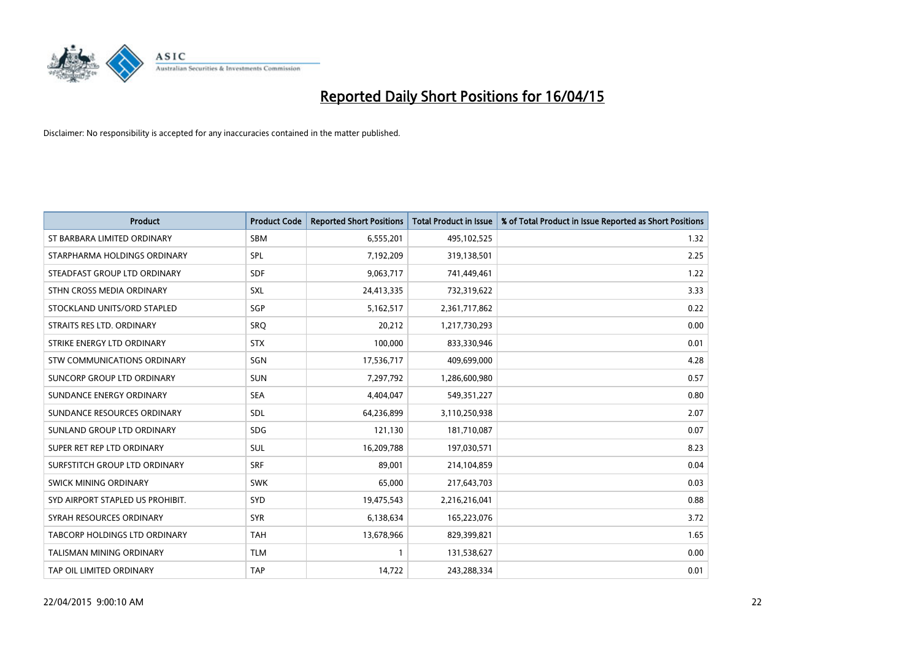

| <b>Product</b>                   | <b>Product Code</b> | <b>Reported Short Positions</b> | <b>Total Product in Issue</b> | % of Total Product in Issue Reported as Short Positions |
|----------------------------------|---------------------|---------------------------------|-------------------------------|---------------------------------------------------------|
| ST BARBARA LIMITED ORDINARY      | <b>SBM</b>          | 6,555,201                       | 495,102,525                   | 1.32                                                    |
| STARPHARMA HOLDINGS ORDINARY     | SPL                 | 7,192,209                       | 319,138,501                   | 2.25                                                    |
| STEADFAST GROUP LTD ORDINARY     | <b>SDF</b>          | 9,063,717                       | 741,449,461                   | 1.22                                                    |
| STHN CROSS MEDIA ORDINARY        | <b>SXL</b>          | 24,413,335                      | 732,319,622                   | 3.33                                                    |
| STOCKLAND UNITS/ORD STAPLED      | SGP                 | 5,162,517                       | 2,361,717,862                 | 0.22                                                    |
| STRAITS RES LTD. ORDINARY        | <b>SRQ</b>          | 20,212                          | 1,217,730,293                 | 0.00                                                    |
| STRIKE ENERGY LTD ORDINARY       | <b>STX</b>          | 100,000                         | 833,330,946                   | 0.01                                                    |
| STW COMMUNICATIONS ORDINARY      | SGN                 | 17,536,717                      | 409,699,000                   | 4.28                                                    |
| SUNCORP GROUP LTD ORDINARY       | <b>SUN</b>          | 7,297,792                       | 1,286,600,980                 | 0.57                                                    |
| SUNDANCE ENERGY ORDINARY         | <b>SEA</b>          | 4,404,047                       | 549,351,227                   | 0.80                                                    |
| SUNDANCE RESOURCES ORDINARY      | SDL                 | 64,236,899                      | 3,110,250,938                 | 2.07                                                    |
| SUNLAND GROUP LTD ORDINARY       | <b>SDG</b>          | 121,130                         | 181,710,087                   | 0.07                                                    |
| SUPER RET REP LTD ORDINARY       | SUL                 | 16,209,788                      | 197,030,571                   | 8.23                                                    |
| SURFSTITCH GROUP LTD ORDINARY    | <b>SRF</b>          | 89,001                          | 214,104,859                   | 0.04                                                    |
| SWICK MINING ORDINARY            | <b>SWK</b>          | 65,000                          | 217,643,703                   | 0.03                                                    |
| SYD AIRPORT STAPLED US PROHIBIT. | SYD                 | 19,475,543                      | 2,216,216,041                 | 0.88                                                    |
| SYRAH RESOURCES ORDINARY         | <b>SYR</b>          | 6,138,634                       | 165,223,076                   | 3.72                                                    |
| TABCORP HOLDINGS LTD ORDINARY    | <b>TAH</b>          | 13,678,966                      | 829,399,821                   | 1.65                                                    |
| <b>TALISMAN MINING ORDINARY</b>  | <b>TLM</b>          | $\mathbf{1}$                    | 131,538,627                   | 0.00                                                    |
| TAP OIL LIMITED ORDINARY         | <b>TAP</b>          | 14,722                          | 243,288,334                   | 0.01                                                    |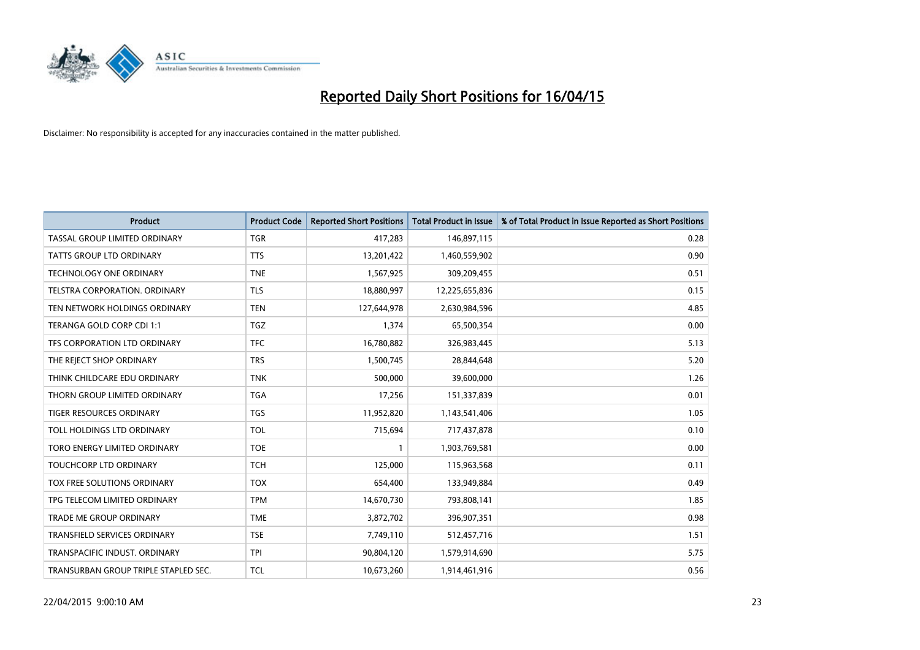

| <b>Product</b>                       | <b>Product Code</b> | <b>Reported Short Positions</b> | <b>Total Product in Issue</b> | % of Total Product in Issue Reported as Short Positions |
|--------------------------------------|---------------------|---------------------------------|-------------------------------|---------------------------------------------------------|
| TASSAL GROUP LIMITED ORDINARY        | <b>TGR</b>          | 417,283                         | 146,897,115                   | 0.28                                                    |
| <b>TATTS GROUP LTD ORDINARY</b>      | <b>TTS</b>          | 13,201,422                      | 1,460,559,902                 | 0.90                                                    |
| <b>TECHNOLOGY ONE ORDINARY</b>       | <b>TNE</b>          | 1,567,925                       | 309,209,455                   | 0.51                                                    |
| TELSTRA CORPORATION. ORDINARY        | <b>TLS</b>          | 18,880,997                      | 12,225,655,836                | 0.15                                                    |
| TEN NETWORK HOLDINGS ORDINARY        | <b>TEN</b>          | 127,644,978                     | 2,630,984,596                 | 4.85                                                    |
| TERANGA GOLD CORP CDI 1:1            | <b>TGZ</b>          | 1,374                           | 65,500,354                    | 0.00                                                    |
| TFS CORPORATION LTD ORDINARY         | <b>TFC</b>          | 16,780,882                      | 326,983,445                   | 5.13                                                    |
| THE REJECT SHOP ORDINARY             | <b>TRS</b>          | 1,500,745                       | 28,844,648                    | 5.20                                                    |
| THINK CHILDCARE EDU ORDINARY         | <b>TNK</b>          | 500,000                         | 39,600,000                    | 1.26                                                    |
| THORN GROUP LIMITED ORDINARY         | <b>TGA</b>          | 17,256                          | 151,337,839                   | 0.01                                                    |
| TIGER RESOURCES ORDINARY             | <b>TGS</b>          | 11,952,820                      | 1,143,541,406                 | 1.05                                                    |
| TOLL HOLDINGS LTD ORDINARY           | <b>TOL</b>          | 715,694                         | 717,437,878                   | 0.10                                                    |
| TORO ENERGY LIMITED ORDINARY         | <b>TOE</b>          | 1                               | 1,903,769,581                 | 0.00                                                    |
| <b>TOUCHCORP LTD ORDINARY</b>        | <b>TCH</b>          | 125.000                         | 115,963,568                   | 0.11                                                    |
| TOX FREE SOLUTIONS ORDINARY          | <b>TOX</b>          | 654,400                         | 133,949,884                   | 0.49                                                    |
| TPG TELECOM LIMITED ORDINARY         | <b>TPM</b>          | 14,670,730                      | 793,808,141                   | 1.85                                                    |
| <b>TRADE ME GROUP ORDINARY</b>       | <b>TME</b>          | 3,872,702                       | 396,907,351                   | 0.98                                                    |
| TRANSFIELD SERVICES ORDINARY         | <b>TSE</b>          | 7,749,110                       | 512,457,716                   | 1.51                                                    |
| TRANSPACIFIC INDUST, ORDINARY        | <b>TPI</b>          | 90,804,120                      | 1,579,914,690                 | 5.75                                                    |
| TRANSURBAN GROUP TRIPLE STAPLED SEC. | <b>TCL</b>          | 10,673,260                      | 1,914,461,916                 | 0.56                                                    |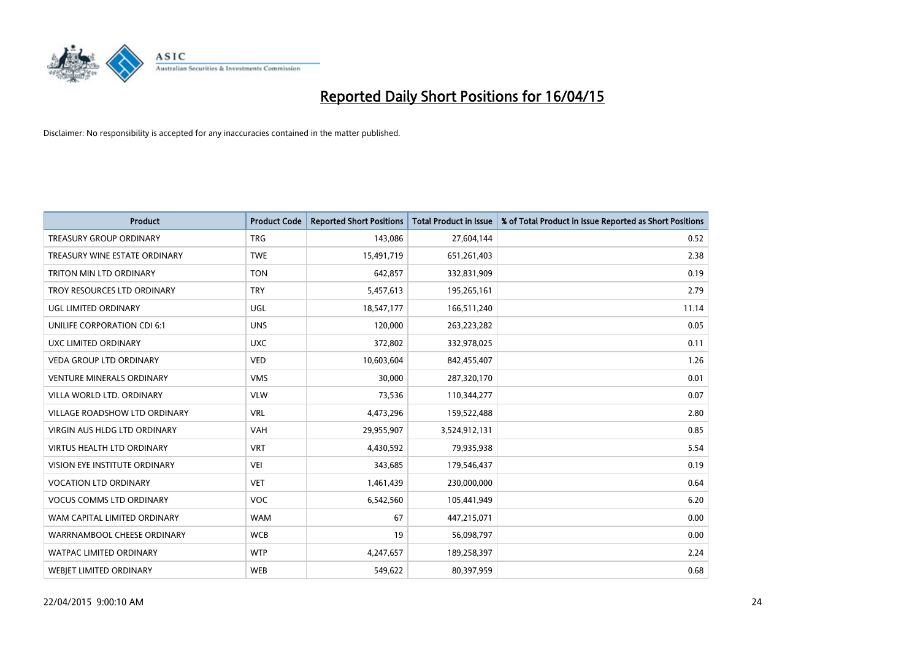

| <b>Product</b>                      | <b>Product Code</b> | <b>Reported Short Positions</b> | <b>Total Product in Issue</b> | % of Total Product in Issue Reported as Short Positions |
|-------------------------------------|---------------------|---------------------------------|-------------------------------|---------------------------------------------------------|
| <b>TREASURY GROUP ORDINARY</b>      | <b>TRG</b>          | 143,086                         | 27,604,144                    | 0.52                                                    |
| TREASURY WINE ESTATE ORDINARY       | <b>TWE</b>          | 15,491,719                      | 651,261,403                   | 2.38                                                    |
| TRITON MIN LTD ORDINARY             | <b>TON</b>          | 642,857                         | 332,831,909                   | 0.19                                                    |
| TROY RESOURCES LTD ORDINARY         | <b>TRY</b>          | 5,457,613                       | 195,265,161                   | 2.79                                                    |
| <b>UGL LIMITED ORDINARY</b>         | UGL                 | 18,547,177                      | 166,511,240                   | 11.14                                                   |
| UNILIFE CORPORATION CDI 6:1         | <b>UNS</b>          | 120,000                         | 263,223,282                   | 0.05                                                    |
| UXC LIMITED ORDINARY                | <b>UXC</b>          | 372,802                         | 332,978,025                   | 0.11                                                    |
| <b>VEDA GROUP LTD ORDINARY</b>      | <b>VED</b>          | 10,603,604                      | 842,455,407                   | 1.26                                                    |
| VENTURE MINERALS ORDINARY           | <b>VMS</b>          | 30,000                          | 287,320,170                   | 0.01                                                    |
| VILLA WORLD LTD, ORDINARY           | <b>VLW</b>          | 73,536                          | 110,344,277                   | 0.07                                                    |
| VILLAGE ROADSHOW LTD ORDINARY       | <b>VRL</b>          | 4,473,296                       | 159,522,488                   | 2.80                                                    |
| <b>VIRGIN AUS HLDG LTD ORDINARY</b> | <b>VAH</b>          | 29,955,907                      | 3,524,912,131                 | 0.85                                                    |
| VIRTUS HEALTH LTD ORDINARY          | <b>VRT</b>          | 4,430,592                       | 79,935,938                    | 5.54                                                    |
| VISION EYE INSTITUTE ORDINARY       | <b>VEI</b>          | 343,685                         | 179,546,437                   | 0.19                                                    |
| <b>VOCATION LTD ORDINARY</b>        | <b>VET</b>          | 1,461,439                       | 230,000,000                   | 0.64                                                    |
| <b>VOCUS COMMS LTD ORDINARY</b>     | <b>VOC</b>          | 6,542,560                       | 105,441,949                   | 6.20                                                    |
| WAM CAPITAL LIMITED ORDINARY        | <b>WAM</b>          | 67                              | 447,215,071                   | 0.00                                                    |
| WARRNAMBOOL CHEESE ORDINARY         | <b>WCB</b>          | 19                              | 56,098,797                    | 0.00                                                    |
| <b>WATPAC LIMITED ORDINARY</b>      | <b>WTP</b>          | 4,247,657                       | 189,258,397                   | 2.24                                                    |
| <b>WEBJET LIMITED ORDINARY</b>      | <b>WEB</b>          | 549,622                         | 80,397,959                    | 0.68                                                    |